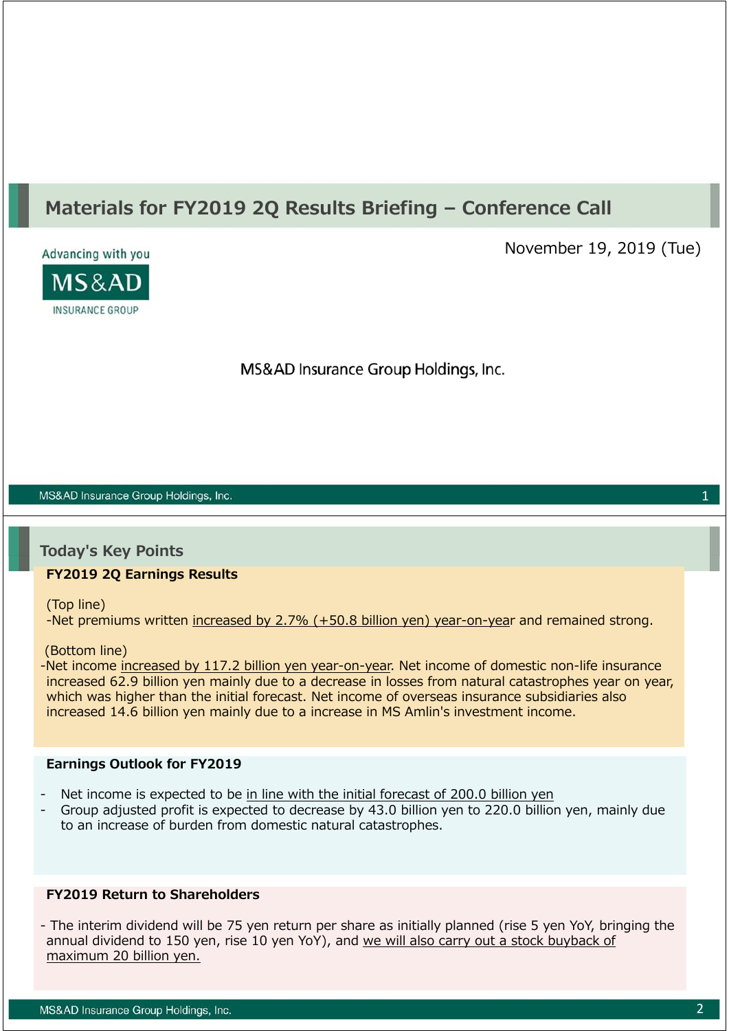# **Materials for FY2019 2Q Results Briefing – Conference Call**



November 19, 2019 (Tue)

MS&AD Insurance Group Holdings, Inc.

#### MS&AD Insurance Group Holdings, Inc.

#### **Today's Key Points**

#### **FY2019 2Q Earnings Results**

(Top line)

-Net premiums written increased by 2.7% (+50.8 billion yen) year-on-year and remained strong.

#### (Bottom line)

-Net income increased by 117.2 billion yen year-on-year. Net income of domestic non-life insurance increased 62.9 billion yen mainly due to a decrease in losses from natural catastrophes year on year, which was higher than the initial forecast. Net income of overseas insurance subsidiaries also increased 14.6 billion yen mainly due to a increase in MS Amlin's investment income.

#### **Earnings Outlook for FY2019**

- Net income is expected to be in line with the initial forecast of 200.0 billion yen
- Group adjusted profit is expected to decrease by 43.0 billion yen to 220.0 billion yen, mainly due to an increase of burden from domestic natural catastrophes.

#### **FY2019 Return to Shareholders**

- The interim dividend will be 75 yen return per share as initially planned (rise 5 yen YoY, bringing the annual dividend to 150 yen, rise 10 yen YoY), and we will also carry out a stock buyback of maximum 20 billion yen.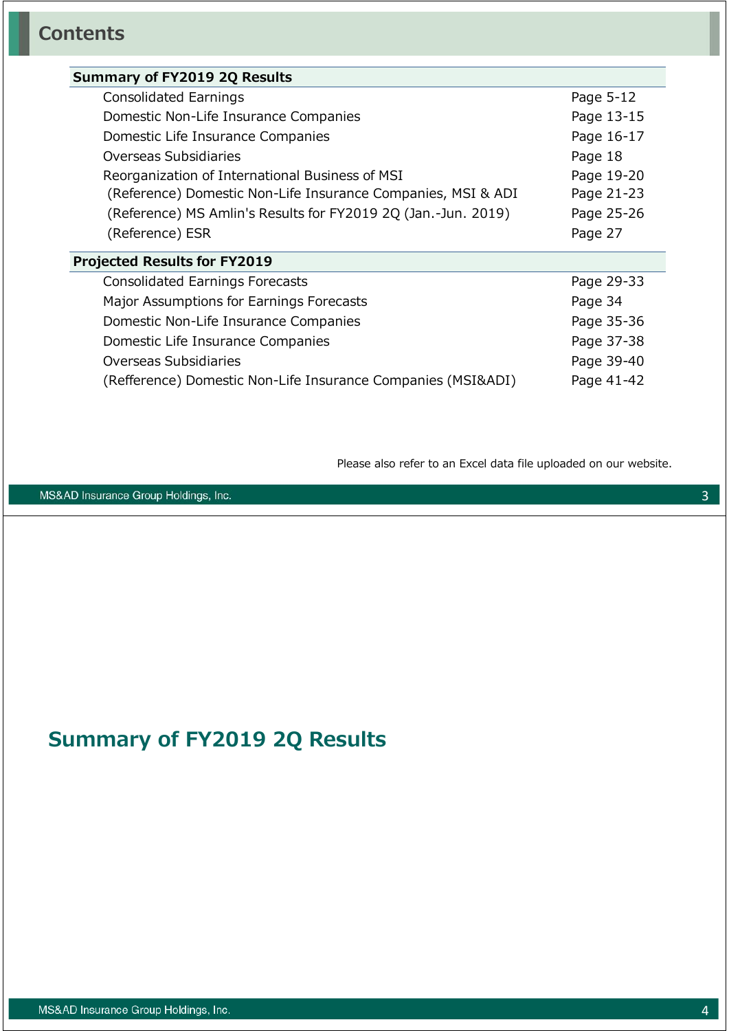| <b>Summary of FY2019 2Q Results</b>                           |            |
|---------------------------------------------------------------|------------|
| Consolidated Earnings                                         | Page 5-12  |
| Domestic Non-Life Insurance Companies                         | Page 13-15 |
| Domestic Life Insurance Companies                             | Page 16-17 |
| Overseas Subsidiaries                                         | Page 18    |
| Reorganization of International Business of MSI               | Page 19-20 |
| (Reference) Domestic Non-Life Insurance Companies, MSI & ADI  | Page 21-23 |
| (Reference) MS Amlin's Results for FY2019 2Q (Jan.-Jun. 2019) | Page 25-26 |
| (Reference) ESR                                               | Page 27    |
| <b>Projected Results for FY2019</b>                           |            |
| Consolidated Earnings Forecasts                               | Page 29-33 |
| Major Assumptions for Earnings Forecasts                      | Page 34    |
| Domestic Non-Life Insurance Companies                         | Page 35-36 |
| Domestic Life Insurance Companies                             | Page 37-38 |
| Overseas Subsidiaries                                         | Page 39-40 |
| (Refference) Domestic Non-Life Insurance Companies (MSI&ADI)  | Page 41-42 |

Please also refer to an Excel data file uploaded on our website.

MS&AD Insurance Group Holdings, Inc.

# **Summary of FY2019 2Q Results**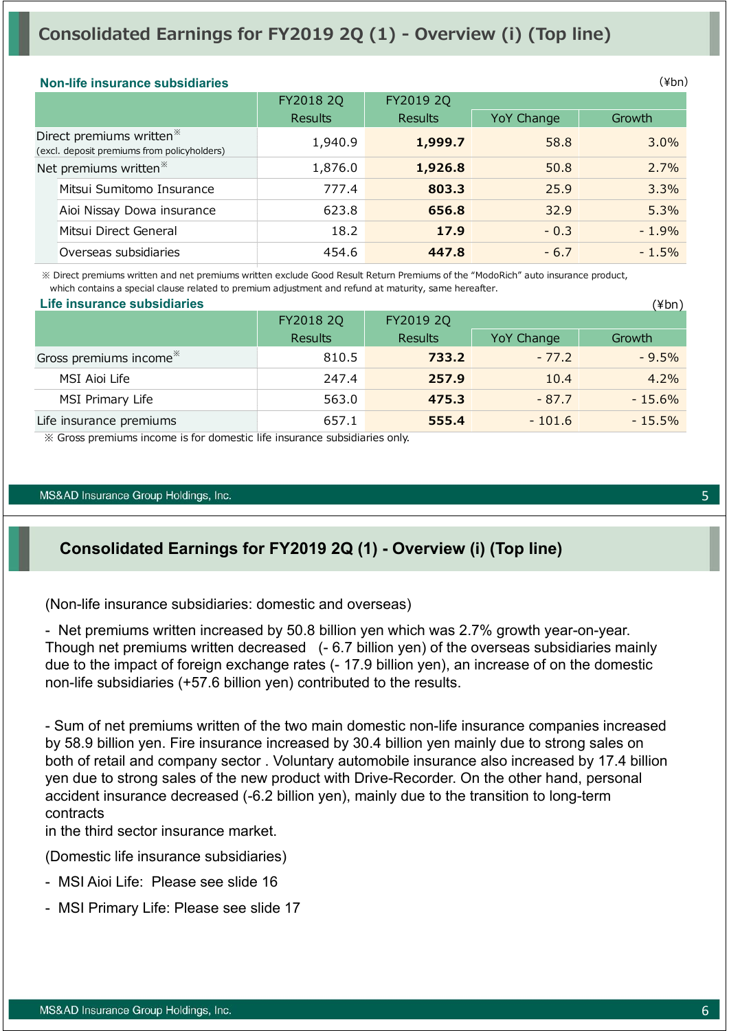## **Consolidated Earnings for FY2019 2Q (1) - Overview (i) (Top line)**

| (¥br<br>Non-life insurance subsidiaries |                |                |            |  |  |  |  |  |
|-----------------------------------------|----------------|----------------|------------|--|--|--|--|--|
| FY2018 2Q                               | FY2019 2Q      |                |            |  |  |  |  |  |
|                                         |                |                | Growth     |  |  |  |  |  |
| 1,940.9                                 | 1,999.7        | 58.8           | $3.0\%$    |  |  |  |  |  |
| 1,876.0                                 | 1,926.8        | 50.8           | 2.7%       |  |  |  |  |  |
| 777.4                                   | 803.3          | 25.9           | 3.3%       |  |  |  |  |  |
| 623.8                                   | 656.8          | 32.9           | 5.3%       |  |  |  |  |  |
| 18.2                                    | 17.9           | $-0.3$         | $-1.9%$    |  |  |  |  |  |
| 454.6                                   | 447.8          | $-6.7$         | $-1.5%$    |  |  |  |  |  |
|                                         | <b>Results</b> | <b>Results</b> | YoY Change |  |  |  |  |  |

 ※ Direct premiums written and net premiums written exclude Good Result Return Premiums of the "ModoRich" auto insurance product, which contains a special clause related to premium adjustment and refund at maturity, same hereafter.

| Life insurance subsidiaries        |                |                |            | (¥bn)     |  |
|------------------------------------|----------------|----------------|------------|-----------|--|
|                                    | FY2018 2Q      | FY2019 2Q      |            |           |  |
|                                    | <b>Results</b> | <b>Results</b> | YoY Change | Growth    |  |
| Gross premiums income <sup>*</sup> | 810.5          | 733.2          | $-77.2$    | $-9.5%$   |  |
| MSI Aioi Life                      | 247.4          | 257.9          | 10.4       | $4.2\%$   |  |
| MSI Primary Life                   | 563.0          | 475.3          | $-87.7$    | $-15.6%$  |  |
| Life insurance premiums            | 657.1          | 555.4          | $-101.6$   | $-15.5\%$ |  |

※ Gross premiums income is for domestic life insurance subsidiaries only.

#### MS&AD Insurance Group Holdings, Inc.

### **Consolidated Earnings for FY2019 2Q (1) - Overview (i) (Top line)**

(Non-life insurance subsidiaries: domestic and overseas)

- Net premiums written increased by 50.8 billion yen which was 2.7% growth year-on-year. Though net premiums written decreased (- 6.7 billion yen) of the overseas subsidiaries mainly due to the impact of foreign exchange rates (- 17.9 billion yen), an increase of on the domestic non-life subsidiaries (+57.6 billion yen) contributed to the results.

- Sum of net premiums written of the two main domestic non-life insurance companies increased by 58.9 billion yen. Fire insurance increased by 30.4 billion yen mainly due to strong sales on both of retail and company sector . Voluntary automobile insurance also increased by 17.4 billion yen due to strong sales of the new product with Drive-Recorder. On the other hand, personal accident insurance decreased (-6.2 billion yen), mainly due to the transition to long-term contracts

in the third sector insurance market.

(Domestic life insurance subsidiaries)

- MSI Aioi Life: Please see slide 16
- MSI Primary Life: Please see slide 17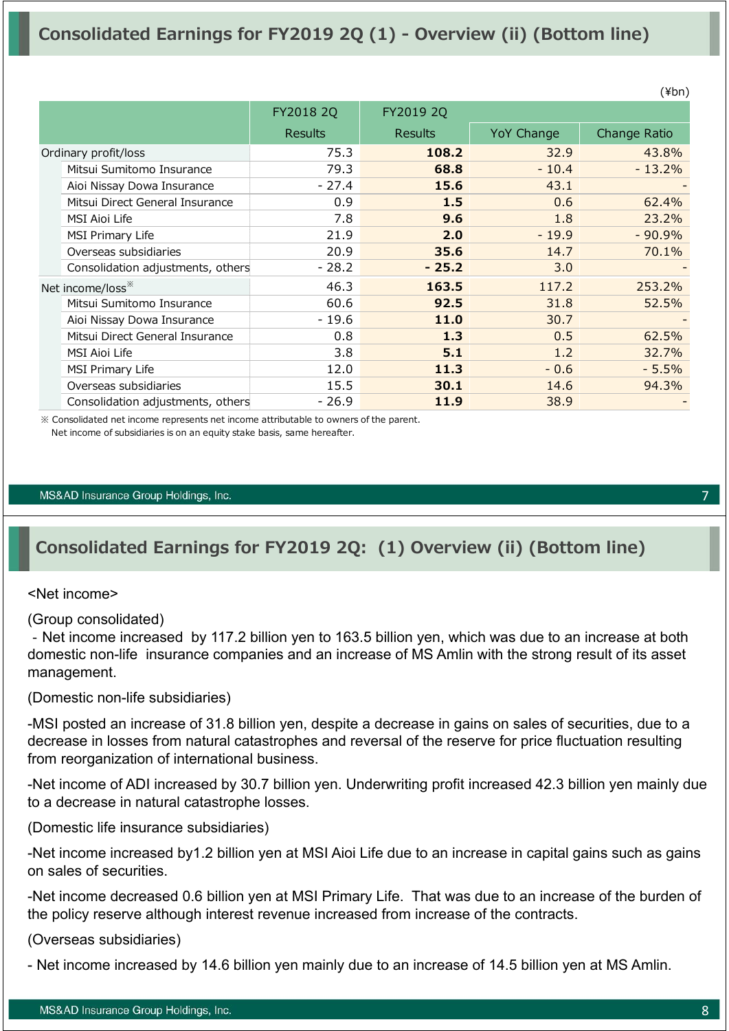|                                   |                |                |            | $\cdots$     |
|-----------------------------------|----------------|----------------|------------|--------------|
|                                   | FY2018 2Q      | FY2019 2Q      |            |              |
|                                   | <b>Results</b> | <b>Results</b> | YoY Change | Change Ratio |
| Ordinary profit/loss              | 75.3           | 108.2          | 32.9       | 43.8%        |
| Mitsui Sumitomo Insurance         | 79.3           | 68.8           | $-10.4$    | $-13.2%$     |
| Aioi Nissay Dowa Insurance        | $-27.4$        | 15.6           | 43.1       |              |
| Mitsui Direct General Insurance   | 0.9            | 1.5            | 0.6        | 62.4%        |
| <b>MSI Aioi Life</b>              | 7.8            | 9.6            | 1.8        | 23.2%        |
| MSI Primary Life                  | 21.9           | 2.0            | $-19.9$    | $-90.9%$     |
| Overseas subsidiaries             | 20.9           | 35.6           | 14.7       | 70.1%        |
| Consolidation adjustments, others | $-28.2$        | $-25.2$        | 3.0        |              |
| Net income/loss <sup>**</sup>     | 46.3           | 163.5          | 117.2      | 253.2%       |
| Mitsui Sumitomo Insurance         | 60.6           | 92.5           | 31.8       | 52.5%        |
| Aioi Nissay Dowa Insurance        | $-19.6$        | 11.0           | 30.7       |              |
| Mitsui Direct General Insurance   | 0.8            | 1.3            | 0.5        | 62.5%        |
| <b>MSI Aioi Life</b>              | 3.8            | 5.1            | 1.2        | 32.7%        |
| <b>MSI Primary Life</b>           | 12.0           | 11.3           | $-0.6$     | $-5.5%$      |
| Overseas subsidiaries             | 15.5           | 30.1           | 14.6       | 94.3%        |
| Consolidation adjustments, others | $-26.9$        | 11.9           | 38.9       |              |

※ Consolidated net income represents net income attributable to owners of the parent. Net income of subsidiaries is on an equity stake basis, same hereafter.

#### MS&AD Insurance Group Holdings, Inc.

## **Consolidated Earnings for FY2019 2Q: (1) Overview (ii) (Bottom line)**

#### <Net income>

(Group consolidated)

‐Net income increased by 117.2 billion yen to 163.5 billion yen, which was due to an increase at both domestic non-life insurance companies and an increase of MS Amlin with the strong result of its asset management.

(Domestic non-life subsidiaries)

-MSI posted an increase of 31.8 billion yen, despite a decrease in gains on sales of securities, due to a decrease in losses from natural catastrophes and reversal of the reserve for price fluctuation resulting from reorganization of international business.

-Net income of ADI increased by 30.7 billion yen. Underwriting profit increased 42.3 billion yen mainly due to a decrease in natural catastrophe losses.

(Domestic life insurance subsidiaries)

-Net income increased by1.2 billion yen at MSI Aioi Life due to an increase in capital gains such as gains on sales of securities.

-Net income decreased 0.6 billion yen at MSI Primary Life. That was due to an increase of the burden of the policy reserve although interest revenue increased from increase of the contracts.

(Overseas subsidiaries)

- Net income increased by 14.6 billion yen mainly due to an increase of 14.5 billion yen at MS Amlin.

7

 $(Yhn)$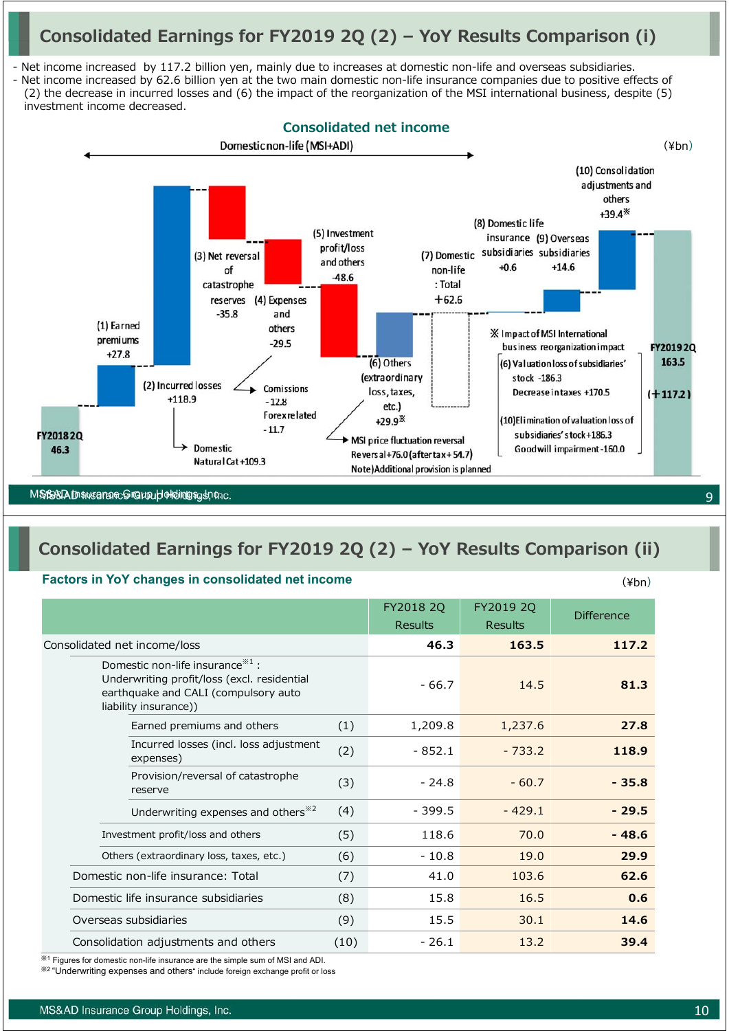## **Consolidated Earnings for FY2019 2Q (2) – YoY Results Comparison (i)**

- Net income increased by 117.2 billion yen, mainly due to increases at domestic non-life and overseas subsidiaries.

- Net income increased by 62.6 billion yen at the two main domestic non-life insurance companies due to positive effects of (2) the decrease in incurred losses and (6) the impact of the reorganization of the MSI international business, despite (5) investment income decreased.



## **Consolidated Earnings for FY2019 2Q (2) – YoY Results Comparison (ii)**

#### **Factors in YoY changes in consolidated net income**

|                                                                                                                                                    |      | FY2018 2Q<br><b>Results</b> | FY2019 2Q<br><b>Results</b> | <b>Difference</b> |
|----------------------------------------------------------------------------------------------------------------------------------------------------|------|-----------------------------|-----------------------------|-------------------|
| Consolidated net income/loss                                                                                                                       |      | 46.3                        | 163.5                       | 117.2             |
| Domestic non-life insurance $*1$ :<br>Underwriting profit/loss (excl. residential<br>earthquake and CALI (compulsory auto<br>liability insurance)) |      | $-66.7$                     | 14.5                        | 81.3              |
| Earned premiums and others                                                                                                                         | (1)  | 1,209.8                     | 1,237.6                     | 27.8              |
| Incurred losses (incl. loss adjustment<br>expenses)                                                                                                | (2)  | $-852.1$                    | $-733.2$                    | 118.9             |
| Provision/reversal of catastrophe<br>reserve                                                                                                       | (3)  | $-24.8$                     | $-60.7$                     | $-35.8$           |
| Underwriting expenses and others <sup>*2</sup>                                                                                                     | (4)  | $-399.5$                    | $-429.1$                    | $-29.5$           |
| Investment profit/loss and others                                                                                                                  | (5)  | 118.6                       | 70.0                        | $-48.6$           |
| Others (extraordinary loss, taxes, etc.)                                                                                                           | (6)  | $-10.8$                     | 19.0                        | 29.9              |
| Domestic non-life insurance: Total                                                                                                                 | (7)  | 41.0                        | 103.6                       | 62.6              |
| Domestic life insurance subsidiaries                                                                                                               | (8)  | 15.8                        | 16.5                        | 0.6               |
| Overseas subsidiaries                                                                                                                              | (9)  | 15.5                        | 30.1                        | 14.6              |
| Consolidation adjustments and others                                                                                                               | (10) | $-26.1$                     | 13.2                        | 39.4              |

※<sup>1</sup> Figures for domestic non-life insurance are the simple sum of MSI and ADI.

※<sup>2</sup> "Underwriting expenses and others" include foreign exchange profit or loss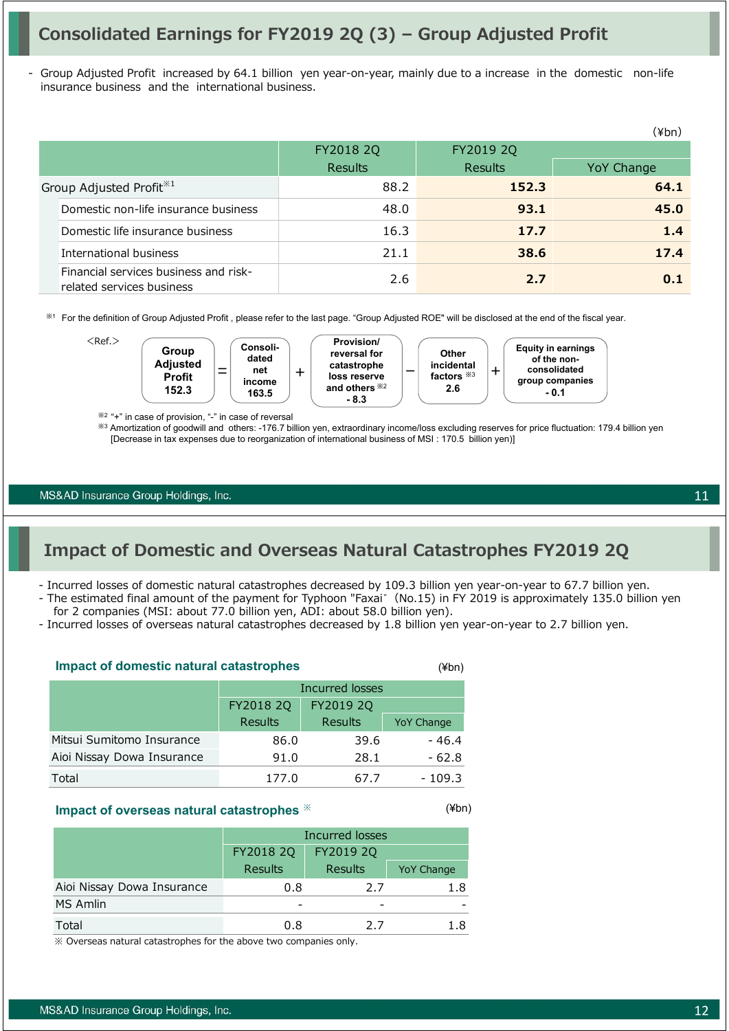## **Consolidated Earnings for FY2019 2Q (3) – Group Adjusted Profit**

Group Adjusted Profit increased by 64.1 billion yen year-on-year, mainly due to a increase in the domestic non-life insurance business and the international business.

|                                                                    |                |                | (¥bn)      |
|--------------------------------------------------------------------|----------------|----------------|------------|
|                                                                    | FY2018 2Q      | FY2019 2Q      |            |
|                                                                    | <b>Results</b> | <b>Results</b> | YoY Change |
| Group Adjusted Profit <sup>*1</sup>                                | 88.2           | 152.3          | 64.1       |
| Domestic non-life insurance business                               | 48.0           | 93.1           | 45.0       |
| Domestic life insurance business                                   | 16.3           | 17.7           | 1.4        |
| International business                                             | 21.1           | 38.6           | 17.4       |
| Financial services business and risk-<br>related services business | 2.6            | 2.7            | 0.1        |

※<sup>1</sup> For the definition of Group Adjusted Profit , please refer to the last page. "Group Adjusted ROE" will be disclosed at the end of the fiscal year.



※2 "+" in case of provision, "-" in case of reversal

※<sup>3</sup> Amortization of goodwill and others: -176.7 billion yen, extraordinary income/loss excluding reserves for price fluctuation: 179.4 billion yen [Decrease in tax expenses due to reorganization of international business of MSI : 170.5 billion yen)]

MS&AD Insurance Group Holdings, Inc.

## **Impact of Domestic and Overseas Natural Catastrophes FY2019 2Q**

- Incurred losses of domestic natural catastrophes decreased by 109.3 billion yen year-on-year to 67.7 billion yen.

- The estimated final amount of the payment for Typhoon "Faxai゛(No.15) in FY 2019 is approximately 135.0 billion yen for 2 companies (MSI: about 77.0 billion yen, ADI: about 58.0 billion yen).
- Incurred losses of overseas natural catastrophes decreased by 1.8 billion yen year-on-year to 2.7 billion yen.

| <b>Impact of domestic natural catastrophes</b> | (¥bn)           |         |                   |
|------------------------------------------------|-----------------|---------|-------------------|
|                                                | Incurred losses |         |                   |
|                                                | FY2018 2Q       |         |                   |
|                                                | <b>Results</b>  | Results | <b>YoY Change</b> |
| Mitsui Sumitomo Insurance                      | 86.0            | 39.6    | $-46.4$           |
| Aioi Nissay Dowa Insurance                     | 91.0            | 28.1    | $-62.8$           |
| Total                                          | 177.0           | 67.7    | $-109.3$          |

#### **Impact of overseas natural catastrophes** ※

| Incurred losses |           |            |  |  |  |
|-----------------|-----------|------------|--|--|--|
| FY2018 2Q       | FY2019 2Q |            |  |  |  |
| <b>Results</b>  | Results   | YoY Change |  |  |  |
| 0.8             | 2.7       | 1.8        |  |  |  |
|                 |           |            |  |  |  |
| 0.8             | 2.7       | 1.8        |  |  |  |
|                 |           |            |  |  |  |

※ Overseas natural catastrophes for the above two companies only.

MS&AD Insurance Group Holdings, Inc.

(¥bn)

12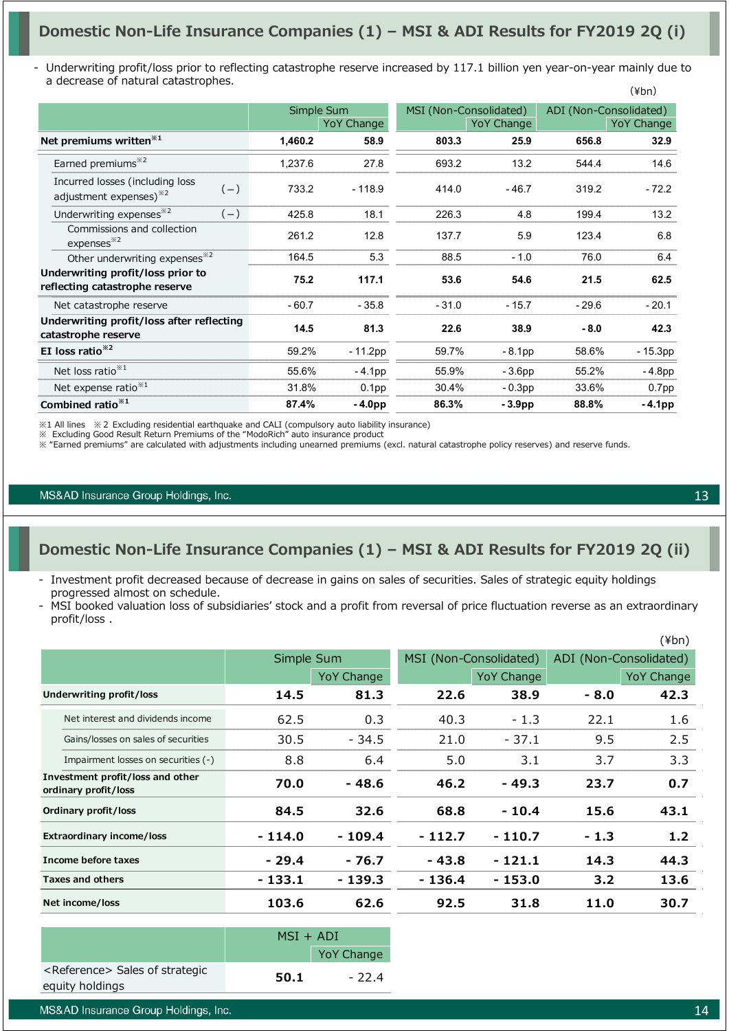### **Domestic Non-Life Insurance Companies (1) – MSI & ADI Results for FY2019 2Q (i)**

Underwriting profit/loss prior to reflecting catastrophe reserve increased by 117.1 billion yen year-on-year mainly due to a decrease of natural catastrophes.  $(\frac{1}{2}$ hn)

|                                                                                |         |                   |         |                        |         | \ + VII)               |
|--------------------------------------------------------------------------------|---------|-------------------|---------|------------------------|---------|------------------------|
|                                                                                |         | Simple Sum        |         | MSI (Non-Consolidated) |         | ADI (Non-Consolidated) |
|                                                                                |         | YoY Change        |         | YoY Change             |         | YoY Change             |
| Net premiums written <sup>*1</sup>                                             | 1,460.2 | 58.9              | 803.3   | 25.9                   | 656.8   | 32.9                   |
| Earned premiums <sup>*2</sup>                                                  | 1,237.6 | 27.8              | 693.2   | 13.2                   | 544.4   | 14.6                   |
| Incurred losses (including loss<br>$(-)$<br>adjustment expenses) <sup>32</sup> | 733.2   | $-118.9$          | 414.0   | $-46.7$                | 319.2   | $-72.2$                |
| Underwriting expenses <sup>*2</sup><br>$(-)$                                   | 425.8   | 18.1              | 226.3   | 4.8                    | 199.4   | 13.2                   |
| Commissions and collection<br>expenses <sup>32</sup>                           | 261.2   | 12.8              | 137.7   | 5.9                    | 123.4   | 6.8                    |
| Other underwriting expenses <sup>*2</sup>                                      | 164.5   | 5.3               | 88.5    | $-1.0$                 | 76.0    | 6.4                    |
| Underwriting profit/loss prior to<br>reflecting catastrophe reserve            | 75.2    | 117.1             | 53.6    | 54.6                   | 21.5    | 62.5                   |
| Net catastrophe reserve                                                        | $-60.7$ | $-35.8$           | $-31.0$ | $-15.7$                | $-29.6$ | $-20.1$                |
| Underwriting profit/loss after reflecting<br>catastrophe reserve               | 14.5    | 81.3              | 22.6    | 38.9                   | $-8.0$  | 42.3                   |
| EI loss ratio <sup>*2</sup>                                                    | 59.2%   | - 11.2pp          | 59.7%   | $-8.1pp$               | 58.6%   | - 15.3pp               |
| Net loss ratio <sup>**1</sup>                                                  | 55.6%   | $-4.1pp$          | 55.9%   | - 3.6pp                | 55.2%   | $-4.8pp$               |
| Net expense ratio <sup>*1</sup>                                                | 31.8%   | 0.1 <sub>pp</sub> | 30.4%   | $-0.3pp$               | 33.6%   | 0.7 <sub>pp</sub>      |
| Combined ratio <sup>**1</sup>                                                  | 87.4%   | $-4.0pp$          | 86.3%   | $-3.9pp$               | 88.8%   | $-4.1pp$               |

※1 All lines ※2 Excluding residential earthquake and CALI (compulsory auto liability insurance)

※ Excluding Good Result Return Premiums of the "ModoRich" auto insurance product

※ "Earned premiums" are calculated with adjustments including unearned premiums (excl. natural catastrophe policy reserves) and reserve funds.

#### MS&AD Insurance Group Holdings, Inc.

#### **Domestic Non-Life Insurance Companies (1) – MSI & ADI Results for FY2019 2Q (ii)**

- Investment profit decreased because of decrease in gains on sales of securities. Sales of strategic equity holdings progressed almost on schedule.
- MSI booked valuation loss of subsidiaries' stock and a profit from reversal of price fluctuation reverse as an extraordinary profit/loss .

| $(\n{Fbn})$                                              |            |            |                        |            |        |                        |
|----------------------------------------------------------|------------|------------|------------------------|------------|--------|------------------------|
|                                                          | Simple Sum |            | MSI (Non-Consolidated) |            |        | ADI (Non-Consolidated) |
|                                                          |            | YoY Change |                        | YoY Change |        | <b>YoY Change</b>      |
| Underwriting profit/loss                                 | 14.5       | 81.3       | 22.6                   | 38.9       | $-8.0$ | 42.3                   |
| Net interest and dividends income                        | 62.5       | 0.3        | 40.3                   | $-1.3$     | 22.1   | 1.6                    |
| Gains/losses on sales of securities                      | 30.5       | $-34.5$    | 21.0                   | $-37.1$    | 9.5    | 2.5                    |
| Impairment losses on securities (-)                      | 8.8        | 6.4        | 5.0                    | 3.1        | 3.7    | 3.3                    |
| Investment profit/loss and other<br>ordinary profit/loss | 70.0       | - 48.6     | 46.2                   | - 49.3     | 23.7   | 0.7                    |
| Ordinary profit/loss                                     | 84.5       | 32.6       | 68.8                   | $-10.4$    | 15.6   | 43.1                   |
| <b>Extraordinary income/loss</b>                         | $-114.0$   | $-109.4$   | - 112.7                | $-110.7$   | $-1.3$ | 1.2                    |
| Income before taxes                                      | $-29.4$    | - 76.7     | - 43.8                 | $-121.1$   | 14.3   | 44.3                   |
| Taxes and others                                         | $-133.1$   | $-139.3$   | - 136.4                | - 153.0    | 3.2    | 13.6                   |
| Net income/loss                                          | 103.6      | 62.6       | 92.5                   | 31.8       | 11.0   | 30.7                   |

|                                            | $MSI + ADI$ |                   |
|--------------------------------------------|-------------|-------------------|
|                                            |             | <b>YoY Change</b> |
| <reference> Sales of strategic</reference> | 50.1        | - 224             |
| equity holdings                            |             |                   |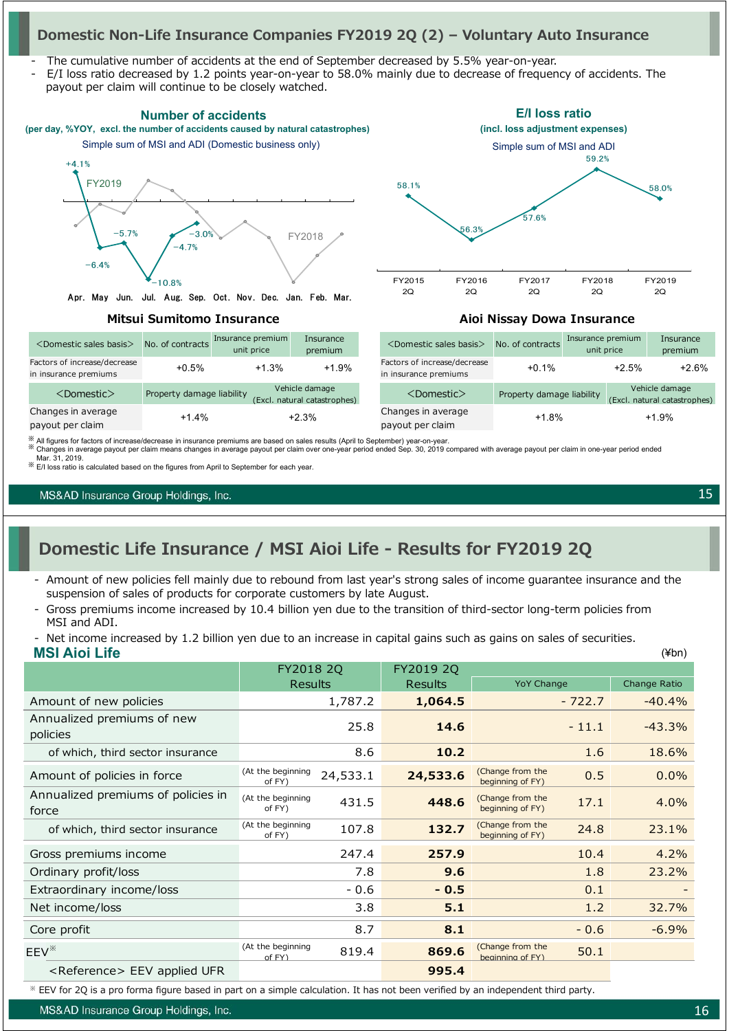### **Domestic Non-Life Insurance Companies FY2019 2Q (2) – Voluntary Auto Insurance**

- The cumulative number of accidents at the end of September decreased by 5.5% year-on-year.
- E/I loss ratio decreased by 1.2 points year-on-year to 58.0% mainly due to decrease of frequency of accidents. The payout per claim will continue to be closely watched.



※ All figures for factors of increase/decrease in insurance premiums are based on sales results (April to September) year-on-year.<br>※ Changes in average payout per claim means changes in average payout per claim over one-

Mar. 31, 2019. ※ E/I loss ratio is calculated based on the figures from April to September for each year.

MS&AD Insurance Group Holdings, Inc.

## **Domestic Life Insurance / MSI Aioi Life - Results for FY2019 2Q**

- Amount of new policies fell mainly due to rebound from last year's strong sales of income guarantee insurance and the suspension of sales of products for corporate customers by late August.
- Gross premiums income increased by 10.4 billion yen due to the transition of third-sector long-term policies from MSI and ADI.
- **MSI Aioi Life** Net income increased by 1.2 billion yen due to an increase in capital gains such as gains on sales of securities.

|                                             | FY2018 2Q                   |          | FY2019 2Q      |                                      |          |              |
|---------------------------------------------|-----------------------------|----------|----------------|--------------------------------------|----------|--------------|
|                                             | <b>Results</b>              |          | <b>Results</b> | <b>YoY Change</b>                    |          | Change Ratio |
| Amount of new policies                      |                             | 1,787.2  | 1,064.5        |                                      | $-722.7$ | $-40.4%$     |
| Annualized premiums of new<br>policies      |                             | 25.8     | 14.6           |                                      | $-11.1$  | $-43.3%$     |
| of which, third sector insurance            |                             | 8.6      | 10.2           |                                      | 1.6      | 18.6%        |
| Amount of policies in force                 | (At the beginning<br>of FY) | 24,533.1 | 24,533.6       | (Change from the<br>beginning of FY) | 0.5      | 0.0%         |
| Annualized premiums of policies in<br>force | (At the beginning<br>of FY) | 431.5    | 448.6          | (Change from the<br>beginning of FY) | 17.1     | 4.0%         |
| of which, third sector insurance            | (At the beginning<br>of FY) | 107.8    | 132.7          | (Change from the<br>beginning of FY) | 24.8     | 23.1%        |
| Gross premiums income                       |                             | 247.4    | 257.9          |                                      | 10.4     | 4.2%         |
| Ordinary profit/loss                        |                             | 7.8      | 9.6            |                                      | 1.8      | 23.2%        |
| Extraordinary income/loss                   |                             | $-0.6$   | $-0.5$         |                                      | 0.1      |              |
| Net income/loss                             |                             | 3.8      | 5.1            |                                      | 1.2      | 32.7%        |
| Core profit                                 |                             | 8.7      | 8.1            |                                      | $-0.6$   | $-6.9%$      |
| $EEV^*$                                     | (At the beginning<br>of FY  | 819.4    | 869.6          | (Change from the<br>heainning of FY) | 50.1     |              |
| <reference> EEV applied UFR</reference>     |                             |          | 995.4          |                                      |          |              |

※ EEV for 2Q is a pro forma figure based in part on a simple calculation. It has not been verified by an independent third party.

MS&AD Insurance Group Holdings, Inc.

15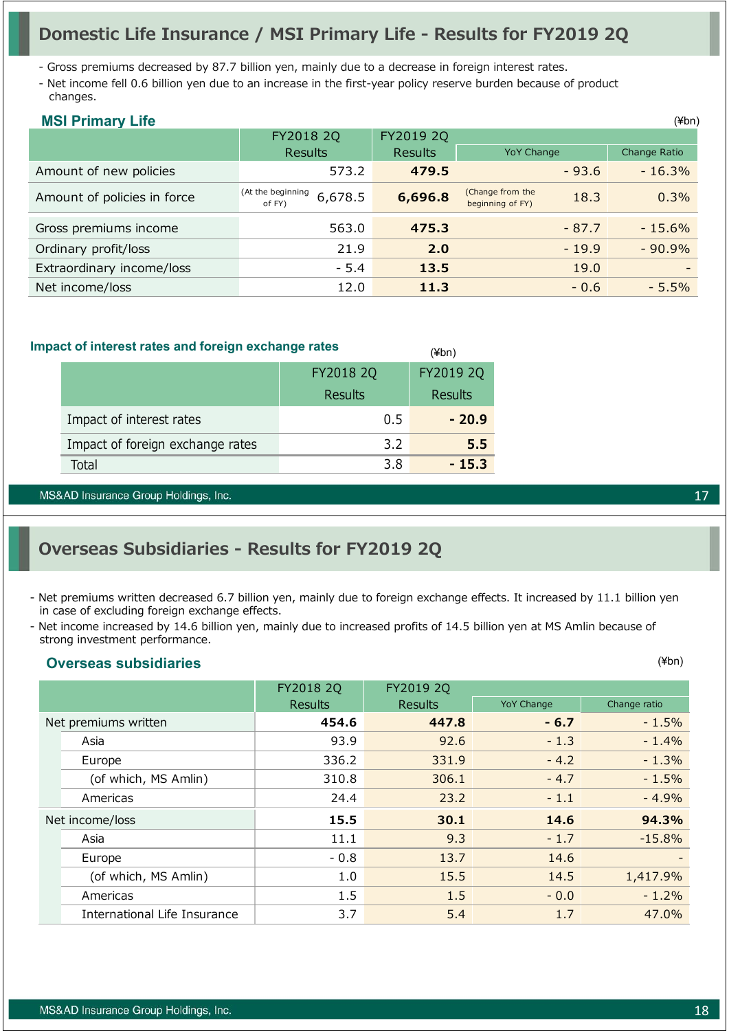## **Domestic Life Insurance / MSI Primary Life - Results for FY2019 2Q**

- Gross premiums decreased by 87.7 billion yen, mainly due to a decrease in foreign interest rates.

- Net income fell 0.6 billion yen due to an increase in the first-year policy reserve burden because of product changes.

| <b>MSI Primary Life</b>     |                                        |                |                                              | $(\n{Fbn})$  |
|-----------------------------|----------------------------------------|----------------|----------------------------------------------|--------------|
|                             | FY2018 2Q                              | FY2019 2Q      |                                              |              |
|                             | <b>Results</b>                         | <b>Results</b> | <b>YoY Change</b>                            | Change Ratio |
| Amount of new policies      | 573.2                                  | 479.5          | $-93.6$                                      | $-16.3%$     |
| Amount of policies in force | (At the beginning<br>6,678.5<br>of FY) | 6,696.8        | (Change from the<br>18.3<br>beginning of FY) | 0.3%         |
| Gross premiums income       | 563.0                                  | 475.3          | $-87.7$                                      | $-15.6\%$    |
| Ordinary profit/loss        | 21.9                                   | 2.0            | $-19.9$                                      | $-90.9%$     |
| Extraordinary income/loss   | $-5.4$                                 | 13.5           | 19.0                                         |              |
| Net income/loss             | 12.0                                   | 11.3           | $-0.6$                                       | $-5.5%$      |

(¥bn)

#### **Impact of interest rates and foreign exchange rates**

|                                  | FY2018 2Q | FY2019 2Q |
|----------------------------------|-----------|-----------|
|                                  | Results   | Results   |
| Impact of interest rates         | 0.5       | $-20.9$   |
| Impact of foreign exchange rates | 3.2       | 5.5       |
| Total                            | 3 R       | $-15.3$   |

MS&AD Insurance Group Holdings, Inc.

## **Overseas Subsidiaries - Results for FY2019 2Q**

- Net premiums written decreased 6.7 billion yen, mainly due to foreign exchange effects. It increased by 11.1 billion yen in case of excluding foreign exchange effects.
- Net income increased by 14.6 billion yen, mainly due to increased profits of 14.5 billion yen at MS Amlin because of strong investment performance.

#### **Overseas subsidiaries**

|                              | FY2018 2Q      | FY2019 2Q      |                   |                          |  |
|------------------------------|----------------|----------------|-------------------|--------------------------|--|
|                              | <b>Results</b> | <b>Results</b> | <b>YoY Change</b> | Change ratio             |  |
| Net premiums written         | 454.6          | 447.8          | $-6.7$            | $-1.5%$                  |  |
| Asia                         | 93.9           | 92.6           | $-1.3$            | $-1.4%$                  |  |
| Europe                       | 336.2          | 331.9          | $-4.2$            | $-1.3%$                  |  |
| (of which, MS Amlin)         | 310.8          | 306.1          | $-4.7$            | $-1.5%$                  |  |
| Americas                     | 24.4           | 23.2           | $-1.1$            | $-4.9%$                  |  |
| Net income/loss              | 15.5           | 30.1           | 14.6              | 94.3%                    |  |
| Asia                         | 11.1           | 9.3            | $-1.7$            | $-15.8%$                 |  |
| Europe                       | $-0.8$         | 13.7           | 14.6              | $\overline{\phantom{0}}$ |  |
| (of which, MS Amlin)         | 1.0            | 15.5           | 14.5              | 1,417.9%                 |  |
| Americas                     | 1.5            | 1.5            | $-0.0$            | $-1.2\%$                 |  |
| International Life Insurance | 3.7            | 5.4            | 1.7               | 47.0%                    |  |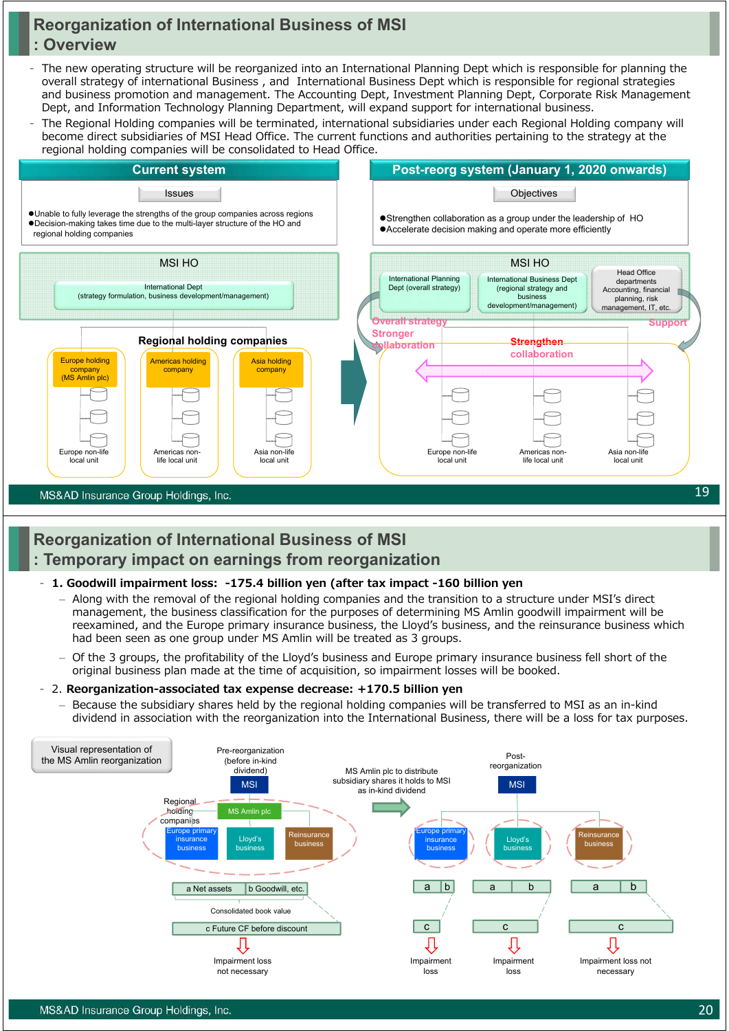### **Reorganization of International Business of MSI : Overview**

- The new operating structure will be reorganized into an International Planning Dept which is responsible for planning the overall strategy of international Business , and International Business Dept which is responsible for regional strategies and business promotion and management. The Accounting Dept, Investment Planning Dept, Corporate Risk Management Dept, and Information Technology Planning Department, will expand support for international business.
- The Regional Holding companies will be terminated, international subsidiaries under each Regional Holding company will become direct subsidiaries of MSI Head Office. The current functions and authorities pertaining to the strategy at the regional holding companies will be consolidated to Head Office.



### **Reorganization of International Business of MSI : Temporary impact on earnings from reorganization**

#### - **1. Goodwill impairment loss: -175.4 billion yen (after tax impact -160 billion yen**

- ‒ Along with the removal of the regional holding companies and the transition to a structure under MSI's direct management, the business classification for the purposes of determining MS Amlin goodwill impairment will be reexamined, and the Europe primary insurance business, the Lloyd's business, and the reinsurance business which had been seen as one group under MS Amlin will be treated as 3 groups.
- ‒ Of the 3 groups, the profitability of the Lloyd's business and Europe primary insurance business fell short of the original business plan made at the time of acquisition, so impairment losses will be booked.

#### - 2. **Reorganization-associated tax expense decrease: +170.5 billion yen**

‒ Because the subsidiary shares held by the regional holding companies will be transferred to MSI as an in-kind dividend in association with the reorganization into the International Business, there will be a loss for tax purposes.

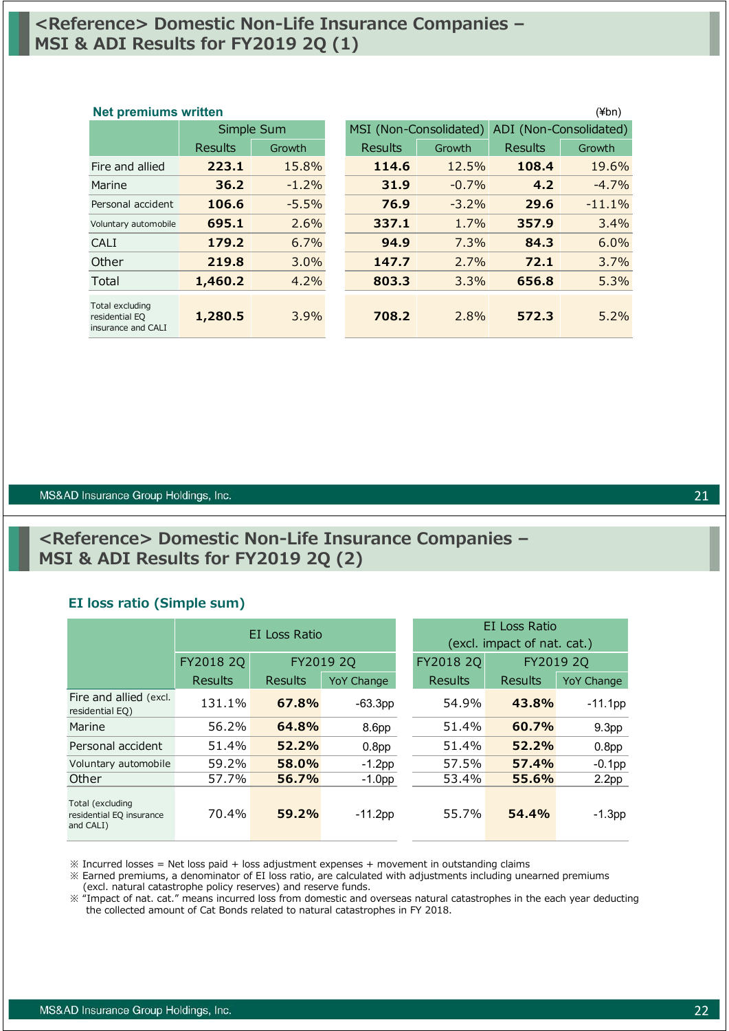### **<Reference> Domestic Non-Life Insurance Companies – MSI & ADI Results for FY2019 2Q (1)**

### Results Growth Results Growth Results Growth Fire and allied **223.1** 15.8% **114.6** 12.5% **108.4** 19.6% Marine **36.2** -1.2% **31.9** -0.7% **4.2** -4.7% Personal accident **106.6** -5.5% **76.9** -3.2% **29.6** -11.1% Voluntary automobile **695.1** 2.6% **337.1** 1.7% **357.9** 3.4% CALI **179.2** 6.7% **94.9** 7.3% **84.3** 6.0% Other **219.8** 3.0% **147.7** 2.7% **72.1** 3.7% Total **1,460.2** 4.2% **803.3** 3.3% **656.8** 5.3% Total excluding residential EQ insurance and CALI **1,280.5** 3.9% **708.2** 2.8% **572.3** 5.2% Simple Sum MSI (Non-Consolidated) ADI (Non-Consolidated) **Net premiums written** (¥bn)

#### MS&AD Insurance Group Holdings, Inc.

### **<Reference> Domestic Non-Life Insurance Companies – MSI & ADI Results for FY2019 2Q (2)**

#### **EI loss ratio (Simple sum)**

|                                                           | EI Loss Ratio |         |                        | EI Loss Ratio<br>(excl. impact of nat. cat.) |           |                   |  |  |  |
|-----------------------------------------------------------|---------------|---------|------------------------|----------------------------------------------|-----------|-------------------|--|--|--|
|                                                           | FY2018 2Q     |         | FY2019 2Q<br>FY2018 2Q |                                              | FY2019 2Q |                   |  |  |  |
|                                                           | Results       | Results | <b>YoY Change</b>      | <b>Results</b>                               | Results   | <b>YoY Change</b> |  |  |  |
| Fire and allied (excl.<br>residential EQ)                 | 131.1%        | 67.8%   | $-63.3pp$              | 54.9%                                        | 43.8%     | $-11.1$ pp        |  |  |  |
| Marine                                                    | 56.2%         | 64.8%   | 8.6pp                  | 51.4%                                        | 60.7%     | 9.3 <sub>pp</sub> |  |  |  |
| Personal accident                                         | 51.4%         | 52.2%   | 0.8 <sub>pp</sub>      | 51.4%                                        | 52.2%     | 0.8 <sub>pp</sub> |  |  |  |
| Voluntary automobile                                      | 59.2%         | 58.0%   | $-1.2$ pp              | 57.5%                                        | 57.4%     | $-0.1$ pp         |  |  |  |
| Other                                                     | 57.7%         | 56.7%   | $-1.0pp$               | 53.4%                                        | 55.6%     | 2.2 <sub>pp</sub> |  |  |  |
| Total (excluding<br>residential EQ insurance<br>and CALI) | 70.4%         | 59.2%   | $-11.2$ pp             | 55.7%                                        | 54.4%     | $-1.3$ pp         |  |  |  |

 $\%$  Incurred losses = Net loss paid + loss adjustment expenses + movement in outstanding claims

※ Earned premiums, a denominator of EI loss ratio, are calculated with adjustments including unearned premiums (excl. natural catastrophe policy reserves) and reserve funds.

※ "Impact of nat. cat." means incurred loss from domestic and overseas natural catastrophes in the each year deducting the collected amount of Cat Bonds related to natural catastrophes in FY 2018.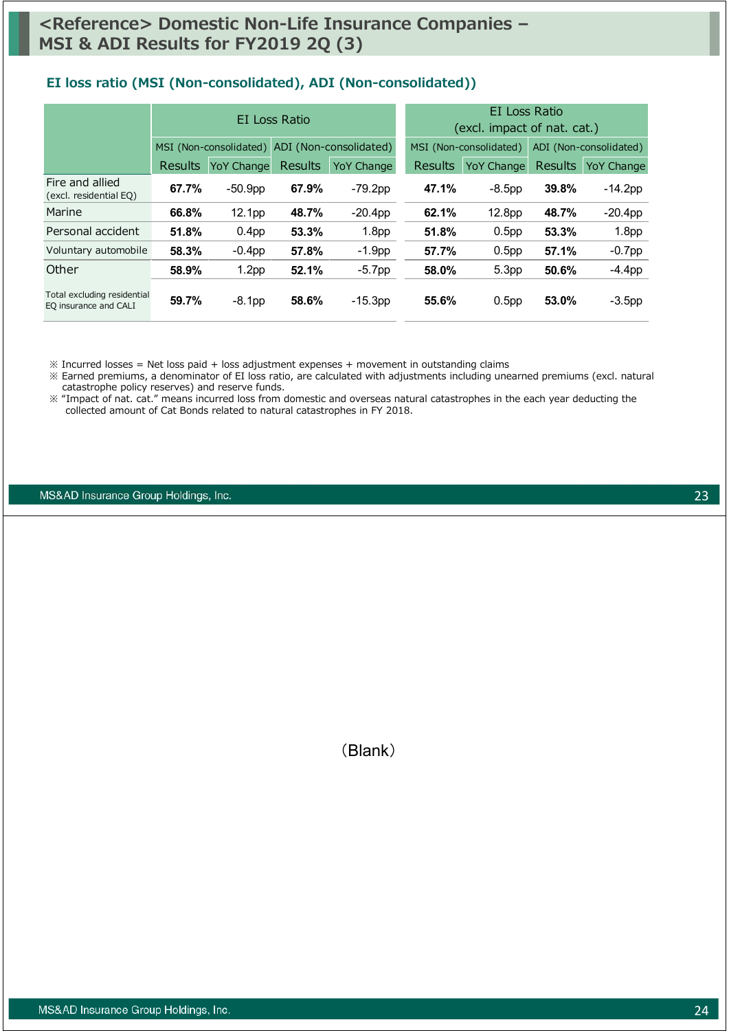#### **EI loss ratio (MSI (Non-consolidated), ADI (Non-consolidated))**

|                                                      |                |                   | EI Loss Ratio  |                                               | EI Loss Ratio<br>(excl. impact of nat. cat.) |                   |                |                        |  |  |
|------------------------------------------------------|----------------|-------------------|----------------|-----------------------------------------------|----------------------------------------------|-------------------|----------------|------------------------|--|--|
|                                                      |                |                   |                | MSI (Non-consolidated) ADI (Non-consolidated) | MSI (Non-consolidated)                       |                   |                | ADI (Non-consolidated) |  |  |
|                                                      | <b>Results</b> | <b>YoY Change</b> | <b>Results</b> | <b>YoY Change</b>                             | <b>Results</b>                               | <b>YoY Change</b> | <b>Results</b> | <b>YoY Change</b>      |  |  |
| Fire and allied<br>(excl. residential EQ)            | 67.7%          | $-50.9pp$         | 67.9%          | $-79.2pp$                                     | 47.1%                                        | $-8.5pp$          | 39.8%          | $-14.2$ pp             |  |  |
| Marine                                               | 66.8%          | 12.1pp            | 48.7%          | $-20.4pp$                                     | 62.1%                                        | 12.8pp            | 48.7%          | $-20.4pp$              |  |  |
| Personal accident                                    | 51.8%          | 0.4 <sub>pp</sub> | 53.3%          | 1.8 <sub>pp</sub>                             | 51.8%                                        | 0.5 <sub>pp</sub> | 53.3%          | 1.8 <sub>pp</sub>      |  |  |
| Voluntary automobile                                 | 58.3%          | $-0.4$ pp         | 57.8%          | $-1.9pp$                                      | 57.7%                                        | 0.5 <sub>pp</sub> | 57.1%          | $-0.7$ pp              |  |  |
| Other                                                | 58.9%          | 1.2 <sub>pp</sub> | 52.1%          | $-5.7pp$                                      | 58.0%                                        | 5.3 <sub>pp</sub> | 50.6%          | $-4.4$ pp              |  |  |
| Total excluding residential<br>EQ insurance and CALI | 59.7%          | $-8.1pp$          | 58.6%          | $-15.3pp$                                     | 55.6%                                        | 0.5 <sub>pp</sub> | 53.0%          | $-3.5$ pp              |  |  |

 $\%$  Incurred losses = Net loss paid + loss adjustment expenses + movement in outstanding claims

※ Earned premiums, a denominator of EI loss ratio, are calculated with adjustments including unearned premiums (excl. natural catastrophe policy reserves) and reserve funds.

※ "Impact of nat. cat." means incurred loss from domestic and overseas natural catastrophes in the each year deducting the collected amount of Cat Bonds related to natural catastrophes in FY 2018.

MS&AD Insurance Group Holdings, Inc.

(Blank)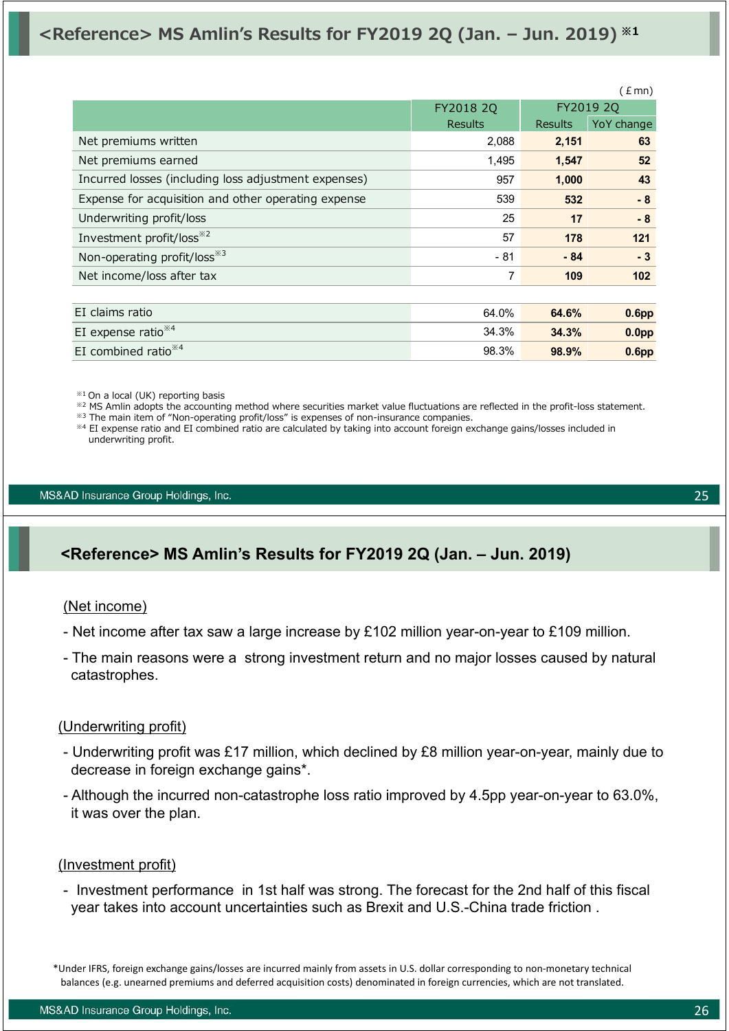## **<Reference> MS Amlin's Results for FY2019 2Q (Jan. – Jun. 2019) ※1**

|                                                      |                |                | (£mn)             |
|------------------------------------------------------|----------------|----------------|-------------------|
|                                                      | FY2018 2Q      |                | FY2019 2Q         |
|                                                      | <b>Results</b> | <b>Results</b> | YoY change        |
| Net premiums written                                 | 2,088          | 2,151          | 63                |
| Net premiums earned                                  | 1,495          | 1,547          | 52                |
| Incurred losses (including loss adjustment expenses) | 957            | 1,000          | 43                |
| Expense for acquisition and other operating expense  | 539            | 532            | $-8$              |
| Underwriting profit/loss                             | 25             | 17             | $-8$              |
| Investment profit/loss <sup>*2</sup>                 | 57             | 178            | 121               |
| Non-operating profit/loss <sup>*3</sup>              | $-81$          | $-84$          | $-3$              |
| Net income/loss after tax                            | 7              | 109            | 102 <sub>2</sub>  |
|                                                      |                |                |                   |
| EI claims ratio                                      | 64.0%          | 64.6%          | 0.6 <sub>pp</sub> |
| EI expense ratio $*4$                                | 34.3%          | 34.3%          | 0.0 <sub>pp</sub> |
| EI combined ratio $*4$                               | 98.3%          | 98.9%          | 0.6 <sub>pp</sub> |

※1 On a local (UK) reporting basis

※2 MS Amlin adopts the accounting method where securities market value fluctuations are reflected in the profit-loss statement.

 $*3$  The main item of "Non-operating profit/loss" is expenses of non-insurance companies.

※4 EI expense ratio and EI combined ratio are calculated by taking into account foreign exchange gains/losses included in underwriting profit.

MS&AD Insurance Group Holdings, Inc.

## **<Reference> MS Amlin's Results for FY2019 2Q (Jan. – Jun. 2019)**

#### (Net income)

- Net income after tax saw a large increase by £102 million year-on-year to £109 million.

- The main reasons were a strong investment return and no major losses caused by natural catastrophes.

#### (Underwriting profit)

- Underwriting profit was £17 million, which declined by £8 million year-on-year, mainly due to decrease in foreign exchange gains\*.
- Although the incurred non-catastrophe loss ratio improved by 4.5pp year-on-year to 63.0%, it was over the plan.

#### (Investment profit)

- Investment performance in 1st half was strong. The forecast for the 2nd half of this fiscal year takes into account uncertainties such as Brexit and U.S.-China trade friction .

\*Under IFRS, foreign exchange gains/losses are incurred mainly from assets in U.S. dollar corresponding to non‐monetary technical balances (e.g. unearned premiums and deferred acquisition costs) denominated in foreign currencies, which are not translated.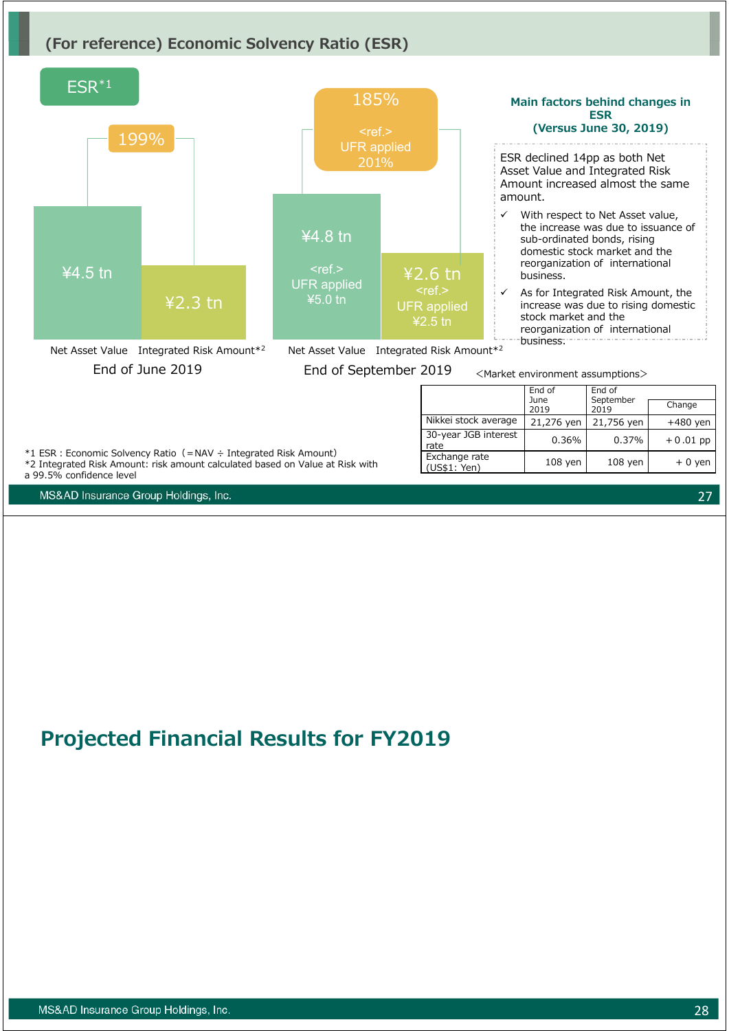### **(For reference) Economic Solvency Ratio (ESR)**



# **Projected Financial Results for FY2019**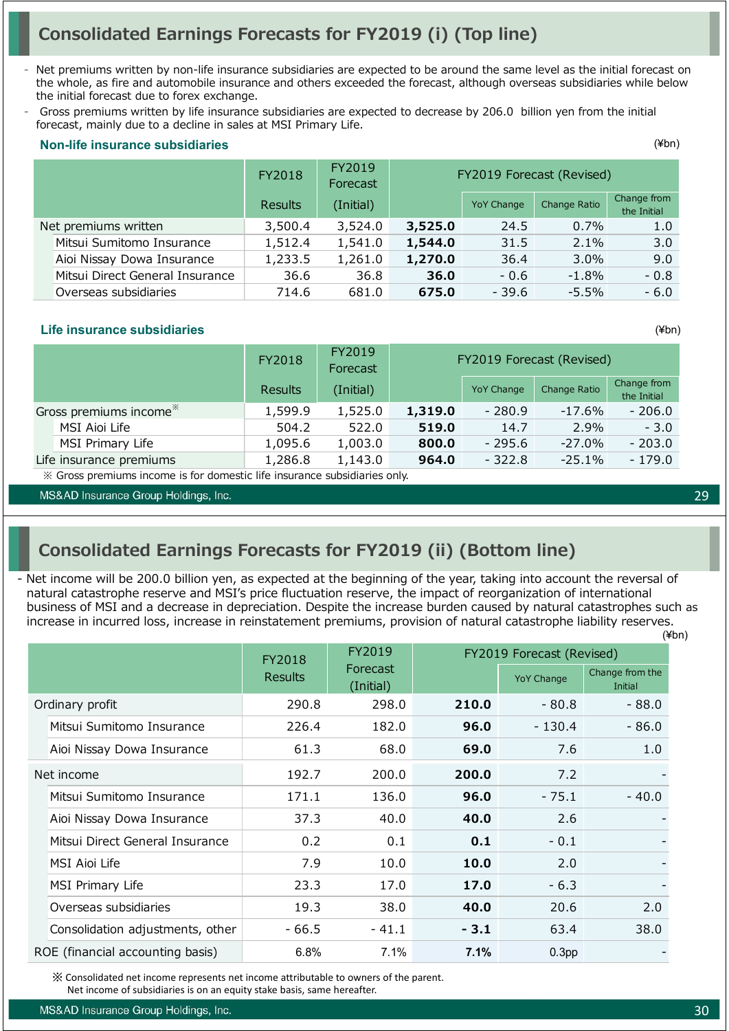## **Consolidated Earnings Forecasts for FY2019 (i) (Top line)**

- Net premiums written by non-life insurance subsidiaries are expected to be around the same level as the initial forecast on the whole, as fire and automobile insurance and others exceeded the forecast, although overseas subsidiaries while below the initial forecast due to forex exchange.
- Gross premiums written by life insurance subsidiaries are expected to decrease by 206.0 billion yen from the initial forecast, mainly due to a decline in sales at MSI Primary Life.

|                      |                                 | FY2018  | FY2019<br>Forecast |         |                   | FY2019 Forecast (Revised) |                            |  |  |  |  |
|----------------------|---------------------------------|---------|--------------------|---------|-------------------|---------------------------|----------------------------|--|--|--|--|
|                      |                                 | Results | (Initial)          |         | <b>YoY Change</b> | Change Ratio              | Change from<br>the Initial |  |  |  |  |
| Net premiums written |                                 | 3,500.4 | 3,524.0            | 3,525.0 | 24.5              | 0.7%                      | 1.0                        |  |  |  |  |
|                      | Mitsui Sumitomo Insurance       | 1,512.4 | 1,541.0            | 1,544.0 | 31.5              | 2.1%                      | 3.0                        |  |  |  |  |
|                      | Aioi Nissay Dowa Insurance      | 1,233.5 | 1,261.0            | 1,270.0 | 36.4              | $3.0\%$                   | 9.0                        |  |  |  |  |
|                      | Mitsui Direct General Insurance | 36.6    | 36.8               | 36.0    | $-0.6$            | $-1.8\%$                  | $-0.8$                     |  |  |  |  |
|                      | Overseas subsidiaries           | 714.6   | 681.0              | 675.0   | $-39.6$           | $-5.5\%$                  | $-6.0$                     |  |  |  |  |

#### **Non-life insurance subsidiaries**

#### **Life insurance subsidiaries**

|                                    | FY2018         | FY2019<br>Forecast | FY2019 Forecast (Revised) |                   |              |                            |
|------------------------------------|----------------|--------------------|---------------------------|-------------------|--------------|----------------------------|
|                                    | <b>Results</b> | (Initial)          |                           | <b>YoY Change</b> | Change Ratio | Change from<br>the Initial |
| Gross premiums income <sup>*</sup> | 1,599.9        | 1,525.0            | 1,319.0                   | - 280.9           | -17.6%       | - 206.0                    |
| MSI Aioi Life                      | 504.2          | 522.0              | 519.0                     | 14.7              | 2.9%         | $-3.0$                     |
| MSI Primary Life                   | 1,095.6        | 1,003.0            | 800.0                     | $-295.6$          | $-27.0\%$    | $-203.0$                   |
| Life insurance premiums            | 1,286.8        | 1,143.0            | 964.0                     | $-322.8$          | $-25.1%$     | $-179.0$                   |

※ Gross premiums income is for domestic life insurance subsidiaries only.

MS&AD Insurance Group Holdings, Inc.

## **Consolidated Earnings Forecasts for FY2019 (ii) (Bottom line)**

(¥bn) - Net income will be 200.0 billion yen, as expected at the beginning of the year, taking into account the reversal of natural catastrophe reserve and MSI's price fluctuation reserve, the impact of reorganization of international business of MSI and a decrease in depreciation. Despite the increase burden caused by natural catastrophes such as increase in incurred loss, increase in reinstatement premiums, provision of natural catastrophe liability reserves.

|                                  | FY2018         | FY2019                |                           |                   | FY2019 Forecast (Revised)  |  |  |
|----------------------------------|----------------|-----------------------|---------------------------|-------------------|----------------------------|--|--|
|                                  | <b>Results</b> | Forecast<br>(Initial) |                           | <b>YoY Change</b> | Change from the<br>Initial |  |  |
| Ordinary profit                  | 290.8          | 298.0                 | 210.0                     | - 80.8            | $-88.0$                    |  |  |
| Mitsui Sumitomo Insurance        | 226.4          | 182.0                 | 96.0                      | $-130.4$          | - 86.0                     |  |  |
| Aioi Nissay Dowa Insurance       | 61.3           | 68.0                  | 69.0                      | 7.6               | 1.0                        |  |  |
| Net income                       | 192.7          | 200.0                 | 200.0                     | 7.2               |                            |  |  |
| Mitsui Sumitomo Insurance        | 171.1          | 136.0                 | 96.0                      | - 75.1            | $-40.0$                    |  |  |
| Aioi Nissay Dowa Insurance       | 37.3           | 40.0                  | 40.0                      | 2.6               |                            |  |  |
| Mitsui Direct General Insurance  | 0.2            | 0.1                   | 0.1                       | $-0.1$            |                            |  |  |
| MSI Aioi Life                    | 7.9            | 10.0                  | 10.0                      | 2.0               |                            |  |  |
| MSI Primary Life                 | 23.3           | 17.0                  | 17.0                      | $-6.3$            |                            |  |  |
| Overseas subsidiaries            | 19.3           | 38.0                  | 40.0                      | 20.6              | 2.0                        |  |  |
| Consolidation adjustments, other | - 66.5         | $-41.1$               | $-3.1$                    | 63.4              | 38.0                       |  |  |
| ROE (financial accounting basis) | 6.8%           | 7.1%                  | 7.1%<br>0.3 <sub>pp</sub> |                   |                            |  |  |

※ Consolidated net income represents net income attributable to owners of the parent.

Net income of subsidiaries is on an equity stake basis, same hereafter.

MS&AD Insurance Group Holdings, Inc.

29

(¥bn)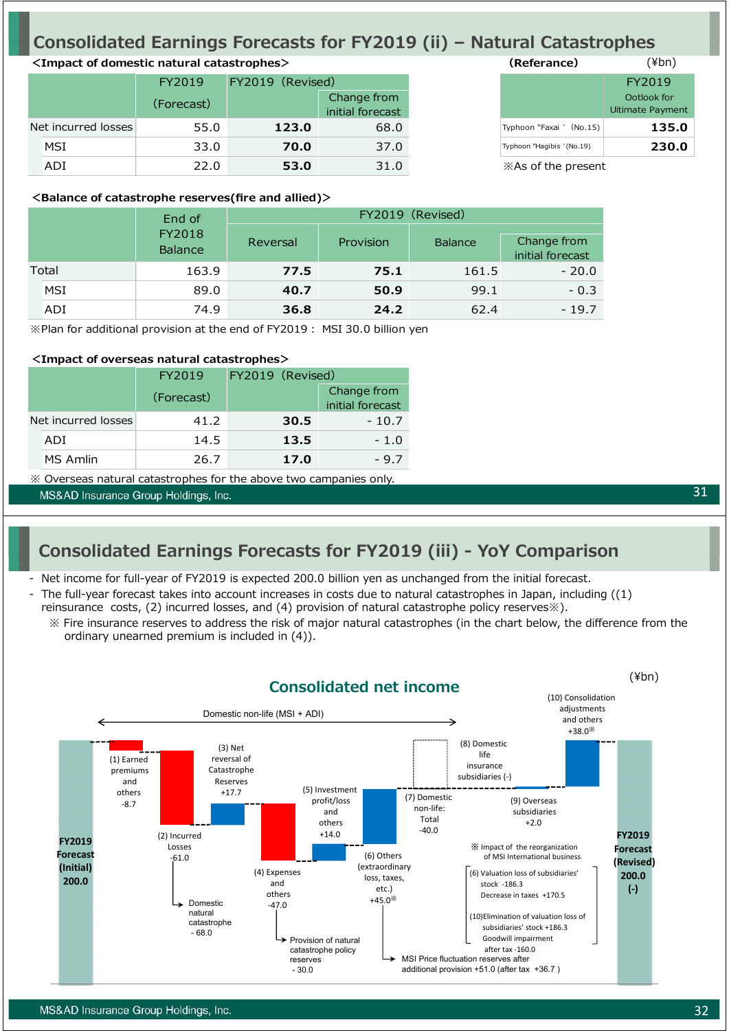## **Consolidated Earnings Forecasts for FY2019 (ii) – Natural Catastrophes**

### **<Impact of domestic natural catastrophes> (Referance)**

|                     | FY2019     |       | FY2019 (Revised)                |  |                           |  |
|---------------------|------------|-------|---------------------------------|--|---------------------------|--|
|                     | (Forecast) |       | Change from<br>initial forecast |  |                           |  |
| Net incurred losses | 55.0       | 123.0 | 68.0                            |  | Typhoon "Faxai " (No.15)  |  |
| <b>MSI</b>          | 33.0       | 70.0  | 37.0                            |  | Typhoon "Hagibis "(No.19) |  |
| ADI                 | 22.0       | 53.0  | 31.0                            |  | *As of the present        |  |

| wardi di ka               | $(1 + 1)$                       |
|---------------------------|---------------------------------|
|                           | FY2019                          |
|                           | Ootlook for<br>Uitimate Payment |
| Typhoon "Faxai " (No.15)  | 135.0                           |
| Typhoon "Hagibis "(No.19) | 230.0                           |
| X As of the present       |                                 |

 $(\forall h n)$ 

#### **<Balance of catastrophe reserves(fire and allied)>**

|       |            | End of                   | FY2019 (Revised)      |      |                |                                 |  |  |  |
|-------|------------|--------------------------|-----------------------|------|----------------|---------------------------------|--|--|--|
|       |            | FY2018<br><b>Balance</b> | Provision<br>Reversal |      | <b>Balance</b> | Change from<br>initial forecast |  |  |  |
| Total |            | 163.9                    | 77.5                  | 75.1 | 161.5          | $-20.0$                         |  |  |  |
|       | <b>MSI</b> | 89.0                     | 40.7                  | 50.9 | 99.1           | $-0.3$                          |  |  |  |
|       | ADI        | 74.9                     | 36.8                  | 24.2 | 62.4           | $-19.7$                         |  |  |  |

※Plan for additional provision at the end of FY2019︓ MSI 30.0 billion yen

#### **<Impact of overseas natural catastrophes>**

|                     | FY2019     | FY2019 (Revised) |                                 |  |
|---------------------|------------|------------------|---------------------------------|--|
|                     | (Forecast) |                  | Change from<br>initial forecast |  |
| Net incurred losses | 41.2       | 30.5             | $-10.7$                         |  |
| ADI                 | 14.5       | 13.5             | $-1.0$                          |  |
| MS Amlin            | 26.7       | 17.0             | $-9.7$                          |  |

※ Overseas natural catastrophes for the above two campanies only.

MS&AD Insurance Group Holdings, Inc.

## **Consolidated Earnings Forecasts for FY2019 (iii) - YoY Comparison**

- Net income for full-year of FY2019 is expected 200.0 billion yen as unchanged from the initial forecast.
- The full-year forecast takes into account increases in costs due to natural catastrophes in Japan, including ((1) reinsurance costs, (2) incurred losses, and (4) provision of natural catastrophe policy reserves※).
	- ※ Fire insurance reserves to address the risk of major natural catastrophes (in the chart below, the difference from the ordinary unearned premium is included in (4)).

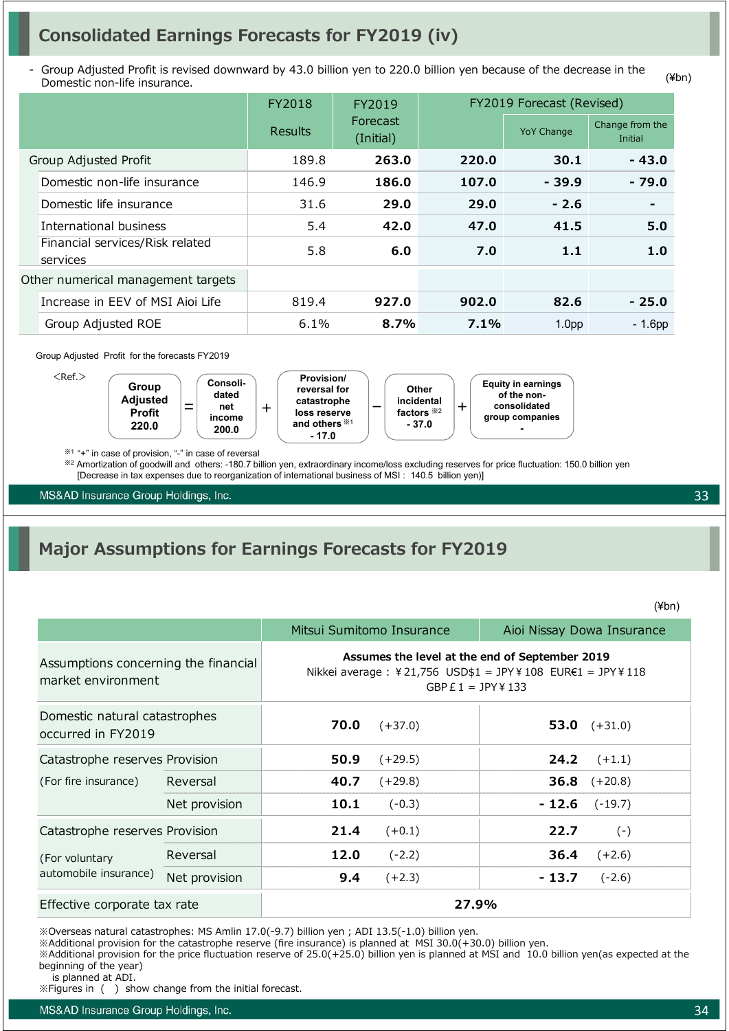## **Consolidated Earnings Forecasts for FY2019 (iv)**

Group Adjusted Profit is revised downward by 43.0 billion yen to 220.0 billion yen because of the decrease in the Domestic non-life insurance.

|                                             | FY2018         | FY2019                |       | FY2019 Forecast (Revised) |                            |  |
|---------------------------------------------|----------------|-----------------------|-------|---------------------------|----------------------------|--|
|                                             | <b>Results</b> | Forecast<br>(Initial) |       | <b>YoY Change</b>         | Change from the<br>Initial |  |
| Group Adjusted Profit                       | 189.8          | 263.0                 | 220.0 | 30.1                      | $-43.0$                    |  |
| Domestic non-life insurance                 | 146.9          | 186.0                 | 107.0 | $-39.9$                   | $-79.0$                    |  |
| Domestic life insurance                     | 31.6           | 29.0                  | 29.0  | $-2.6$                    |                            |  |
| International business                      | 5.4            | 42.0                  | 47.0  | 41.5                      | 5.0                        |  |
| Financial services/Risk related<br>services | 5.8            | 6.0                   | 7.0   | 1.1                       | 1.0                        |  |
| Other numerical management targets          |                |                       |       |                           |                            |  |
| Increase in EEV of MSI Aioi Life            | 819.4          | 927.0                 | 902.0 | 82.6                      | $-25.0$                    |  |
| Group Adjusted ROE                          | 6.1%           | 8.7%                  | 7.1%  | 1.0 <sub>pp</sub>         | $-1.6$ pp                  |  |

#### Group Adjusted Profit for the forecasts FY2019



※1 "+" in case of provision, "-" in case of reversal

※<sup>2</sup> Amortization of goodwill and others: -180.7 billion yen, extraordinary income/loss excluding reserves for price fluctuation: 150.0 billion yen [Decrease in tax expenses due to reorganization of international business of MSI : 140.5 billion yen)]

MS&AD Insurance Group Holdings, Inc.

## **Major Assumptions for Earnings Forecasts for FY2019**

(¥bn)

33

|                                                            |               |                                                                                                                                     | Mitsui Sumitomo Insurance | Aioi Nissay Dowa Insurance |                       |  |  |
|------------------------------------------------------------|---------------|-------------------------------------------------------------------------------------------------------------------------------------|---------------------------|----------------------------|-----------------------|--|--|
| Assumptions concerning the financial<br>market environment |               | Assumes the level at the end of September 2019<br>Nikkei average : ¥21,756 USD\$1 = JPY¥108 EUR€1 = JPY¥118<br>GBP $E1 = JPY$ ¥ 133 |                           |                            |                       |  |  |
| Domestic natural catastrophes<br>occurred in FY2019        |               | 70.0                                                                                                                                | $(+37.0)$                 |                            | 53.0 $(+31.0)$        |  |  |
| Catastrophe reserves Provision                             |               | 50.9                                                                                                                                | $(+29.5)$                 | 24.2                       | $(+1.1)$              |  |  |
| (For fire insurance)                                       | Reversal      | 40.7                                                                                                                                | $(+29.8)$                 |                            | <b>36.8</b> $(+20.8)$ |  |  |
|                                                            | Net provision | 10.1                                                                                                                                | $(-0.3)$                  | - 12.6                     | $(-19.7)$             |  |  |
| Catastrophe reserves Provision                             |               | 21.4                                                                                                                                | $(+0.1)$                  | 22.7                       | $(-)$                 |  |  |
| (For voluntary                                             | Reversal      | 12.0                                                                                                                                | $(-2.2)$                  | 36.4                       | $(+2.6)$              |  |  |
| automobile insurance)                                      | Net provision | 9.4                                                                                                                                 | $(+2.3)$                  | $-13.7$                    | $(-2.6)$              |  |  |
| Effective corporate tax rate                               |               |                                                                                                                                     | 27.9%                     |                            |                       |  |  |

※Overseas natural catastrophes: MS Amlin 17.0(-9.7) billion yen ; ADI 13.5(-1.0) billion yen.

※Additional provision for the catastrophe reserve (fire insurance) is planned at MSI 30.0(+30.0) billion yen.

※Additional provision for the price fluctuation reserve of 25.0(+25.0) billion yen is planned at MSI and 10.0 billion yen(as expected at the beginning of the year)

is planned at ADI.

※Figures in ( ) show change from the initial forecast.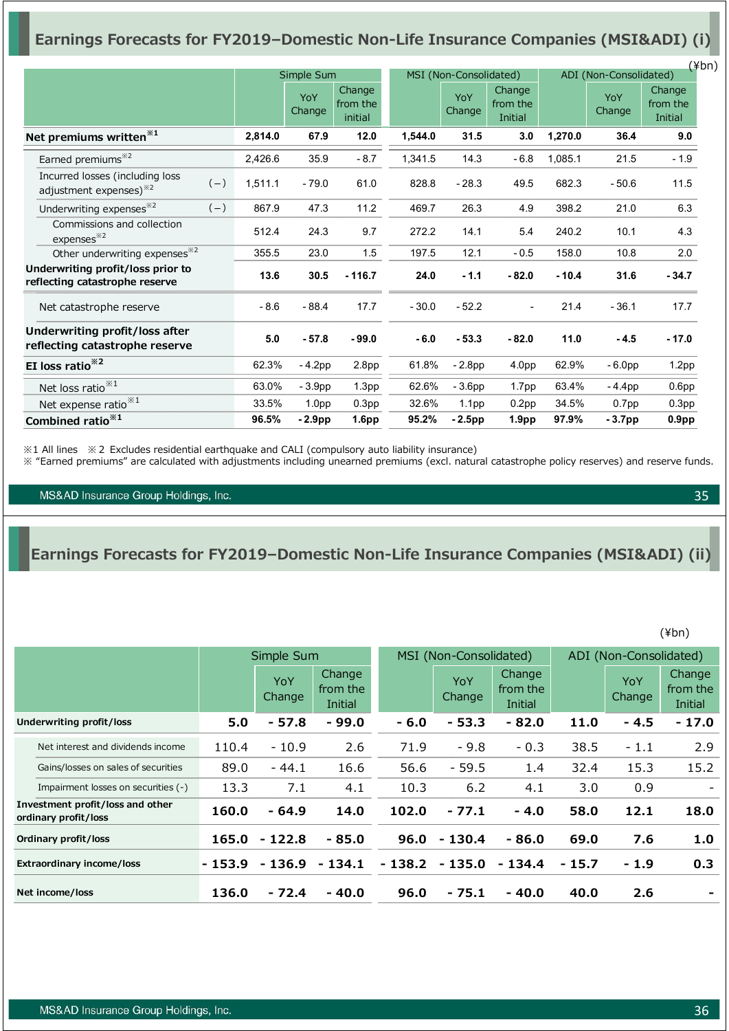## **Earnings Forecasts for FY2019–Domestic Non-Life Insurance Companies (MSI&ADI) (i)**

|                                                                     |       |         |                   |                               |         |                        |                               |         |                        | $(\n{Fbn})$                   |  |
|---------------------------------------------------------------------|-------|---------|-------------------|-------------------------------|---------|------------------------|-------------------------------|---------|------------------------|-------------------------------|--|
|                                                                     |       |         | Simple Sum        |                               |         | MSI (Non-Consolidated) |                               |         | ADI (Non-Consolidated) |                               |  |
|                                                                     |       |         | YoY<br>Change     | Change<br>from the<br>initial |         | YoY<br>Change          | Change<br>from the<br>Initial |         | YoY<br>Change          | Change<br>from the<br>Initial |  |
| Net premiums written <sup>*1</sup>                                  |       | 2,814.0 | 67.9              | 12.0                          | 1,544.0 | 31.5                   | 3.0                           | 1,270.0 | 36.4                   | 9.0                           |  |
| Earned premiums <sup>*2</sup>                                       |       | 2,426.6 | 35.9              | $-8.7$                        | 1,341.5 | 14.3                   | $-6.8$                        | 1,085.1 | 21.5                   | $-1.9$                        |  |
| Incurred losses (including loss<br>adjustment expenses) $*^{2}$     | $(-)$ | 1,511.1 | $-79.0$           | 61.0                          | 828.8   | $-28.3$                | 49.5                          | 682.3   | $-50.6$                | 11.5                          |  |
| Underwriting expenses <sup>*2</sup>                                 | $(-)$ | 867.9   | 47.3              | 11.2                          | 469.7   | 26.3                   | 4.9                           | 398.2   | 21.0                   | 6.3                           |  |
| Commissions and collection<br>expenses <sup>32</sup>                |       | 512.4   | 24.3              | 9.7                           | 272.2   | 14.1                   | 5.4                           | 240.2   | 10.1                   | 4.3                           |  |
| Other underwriting expenses <sup>32</sup>                           |       | 355.5   | 23.0              | 1.5                           | 197.5   | 12.1                   | $-0.5$                        | 158.0   | 10.8                   | 2.0                           |  |
| Underwriting profit/loss prior to<br>reflecting catastrophe reserve |       | 13.6    | 30.5              | $-116.7$                      | 24.0    | $-1.1$                 | $-82.0$                       | $-10.4$ | 31.6                   | $-34.7$                       |  |
| Net catastrophe reserve                                             |       | $-8.6$  | $-88.4$           | 17.7                          | $-30.0$ | $-52.2$                |                               | 21.4    | $-36.1$                | 17.7                          |  |
| Underwriting profit/loss after<br>reflecting catastrophe reserve    |       | 5.0     | $-57.8$           | $-99.0$                       | $-6.0$  | $-53.3$                | $-82.0$                       | 11.0    | $-4.5$                 | $-17.0$                       |  |
| EI loss ratio <sup>*2</sup>                                         |       | 62.3%   | $-4.2pp$          | 2.8 <sub>pp</sub>             | 61.8%   | $-2.8pp$               | 4.0 <sub>pp</sub>             | 62.9%   | $-6.0pp$               | 1.2 <sub>pp</sub>             |  |
| Net loss ratio <sup>*1</sup>                                        |       | 63.0%   | $-3.9pp$          | 1.3 <sub>pp</sub>             | 62.6%   | $-3.6pp$               | 1.7 <sub>pp</sub>             | 63.4%   | $-4.4pp$               | 0.6 <sub>pp</sub>             |  |
| Net expense ratio <sup>*1</sup>                                     |       | 33.5%   | 1.0 <sub>pp</sub> | 0.3 <sub>pp</sub>             | 32.6%   | 1.1 <sub>pp</sub>      | 0.2 <sub>pp</sub>             | 34.5%   | 0.7 <sub>pp</sub>      | 0.3 <sub>pp</sub>             |  |
| Combined ratio <sup>*1</sup>                                        |       | 96.5%   | $-2.9pp$          | 1.6 <sub>pp</sub>             | 95.2%   | $-2.5$ pp              | 1.9 <sub>pp</sub>             | 97.9%   | $-3.7pp$               | 0.9 <sub>pp</sub>             |  |

※1 All lines ※2 Excludes residential earthquake and CALI (compulsory auto liability insurance)

※ "Earned premiums" are calculated with adjustments including unearned premiums (excl. natural catastrophe policy reserves) and reserve funds.

MS&AD Insurance Group Holdings, Inc.

### **Earnings Forecasts for FY2019–Domestic Non-Life Insurance Companies (MSI&ADI) (ii)**

(¥bn)

|                                                          |          | Simple Sum    |                               |          | MSI (Non-Consolidated) |                               |        | ADI (Non-Consolidated) |                               |  |
|----------------------------------------------------------|----------|---------------|-------------------------------|----------|------------------------|-------------------------------|--------|------------------------|-------------------------------|--|
|                                                          |          | YoY<br>Change | Change<br>from the<br>Initial |          | YoY<br>Change          | Change<br>from the<br>Initial |        | YoY<br>Change          | Change<br>from the<br>Initial |  |
| Underwriting profit/loss                                 | 5.0      | $-57.8$       | $-99.0$                       | $-6.0$   | $-53.3$                | $-82.0$                       | 11.0   | $-4.5$                 | $-17.0$                       |  |
| Net interest and dividends income                        | 110.4    | $-10.9$       | 2.6                           | 71.9     | $-9.8$                 | $-0.3$                        | 38.5   | - 1.1                  | 2.9                           |  |
| Gains/losses on sales of securities                      | 89.0     | $-44.1$       | 16.6                          | 56.6     | $-59.5$                | 1.4                           | 32.4   | 15.3                   | 15.2                          |  |
| Impairment losses on securities (-)                      | 13.3     | 7.1           | 4.1                           | 10.3     | 6.2                    | 4.1                           | 3.0    | 0.9                    | $\qquad \qquad \blacksquare$  |  |
| Investment profit/loss and other<br>ordinary profit/loss | 160.0    | $-64.9$       | 14.0                          | 102.0    | $-77.1$                | $-4.0$                        | 58.0   | 12.1                   | 18.0                          |  |
| Ordinary profit/loss                                     | 165.0    | $-122.8$      | - 85.0                        | 96.0     | $-130.4$               | - 86.0                        | 69.0   | 7.6                    | 1.0                           |  |
| <b>Extraordinary income/loss</b>                         | $-153.9$ | - 136.9       | $-134.1$                      | $-138.2$ | - 135.0                | $-134.4$                      | - 15.7 | $-1.9$                 | 0.3                           |  |
| Net income/loss                                          | 136.0    | $-72.4$       | $-40.0$                       | 96.0     | $-75.1$                | $-40.0$                       | 40.0   | 2.6                    |                               |  |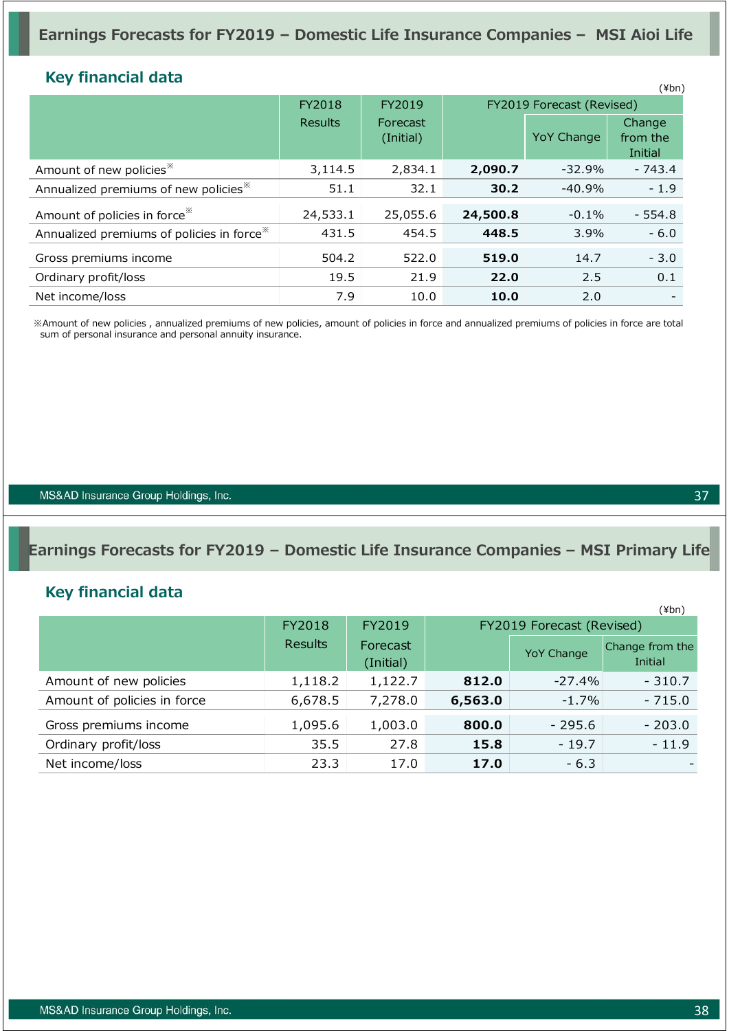### **Key financial data**

| <b>NUV HIRHIVIAI UALA</b>                             |                |                       |          |                           | $(\n{Fbn})$                   |
|-------------------------------------------------------|----------------|-----------------------|----------|---------------------------|-------------------------------|
|                                                       | FY2018         | FY2019                |          | FY2019 Forecast (Revised) |                               |
|                                                       | <b>Results</b> | Forecast<br>(Initial) |          | <b>YoY Change</b>         | Change<br>from the<br>Initial |
| Amount of new policies <sup>*</sup>                   | 3,114.5        | 2,834.1               | 2,090.7  | $-32.9%$                  | $-743.4$                      |
| Annualized premiums of new policies <sup>*</sup>      | 51.1           | 32.1                  | 30.2     | $-40.9%$                  | $-1.9$                        |
| Amount of policies in force <sup>**</sup>             | 24,533.1       | 25,055.6              | 24,500.8 | $-0.1\%$                  | $-554.8$                      |
| Annualized premiums of policies in force <sup>*</sup> | 431.5          | 454.5                 | 448.5    | 3.9%                      | $-6.0$                        |
| Gross premiums income                                 | 504.2          | 522.0                 | 519.0    | 14.7                      | $-3.0$                        |
| Ordinary profit/loss                                  | 19.5           | 21.9                  | 22.0     | 2.5                       | 0.1                           |
| Net income/loss                                       | 7.9            | 10.0                  | 10.0     | 2.0                       |                               |

※Amount of new policies , annualized premiums of new policies, amount of policies in force and annualized premiums of policies in force are total sum of personal insurance and personal annuity insurance.

MS&AD Insurance Group Holdings, Inc.

### **Earnings Forecasts for FY2019 – Domestic Life Insurance Companies – MSI Primary Life**

### **Key financial data**

|                             |         |                       |         |                           | $(\n{Fbn})$                |
|-----------------------------|---------|-----------------------|---------|---------------------------|----------------------------|
|                             | FY2018  | FY2019                |         | FY2019 Forecast (Revised) |                            |
|                             | Results | Forecast<br>(Initial) |         | <b>YoY Change</b>         | Change from the<br>Initial |
| Amount of new policies      | 1,118.2 | 1,122.7               | 812.0   | $-27.4\%$                 | $-310.7$                   |
| Amount of policies in force | 6,678.5 | 7,278.0               | 6,563.0 | $-1.7\%$                  | $-715.0$                   |
| Gross premiums income       | 1,095.6 | 1,003.0               | 800.0   | $-295.6$                  | $-203.0$                   |
| Ordinary profit/loss        | 35.5    | 27.8                  | 15.8    | $-19.7$                   | $-11.9$                    |
| Net income/loss             | 23.3    | 17.0                  | 17.0    | $-6.3$                    |                            |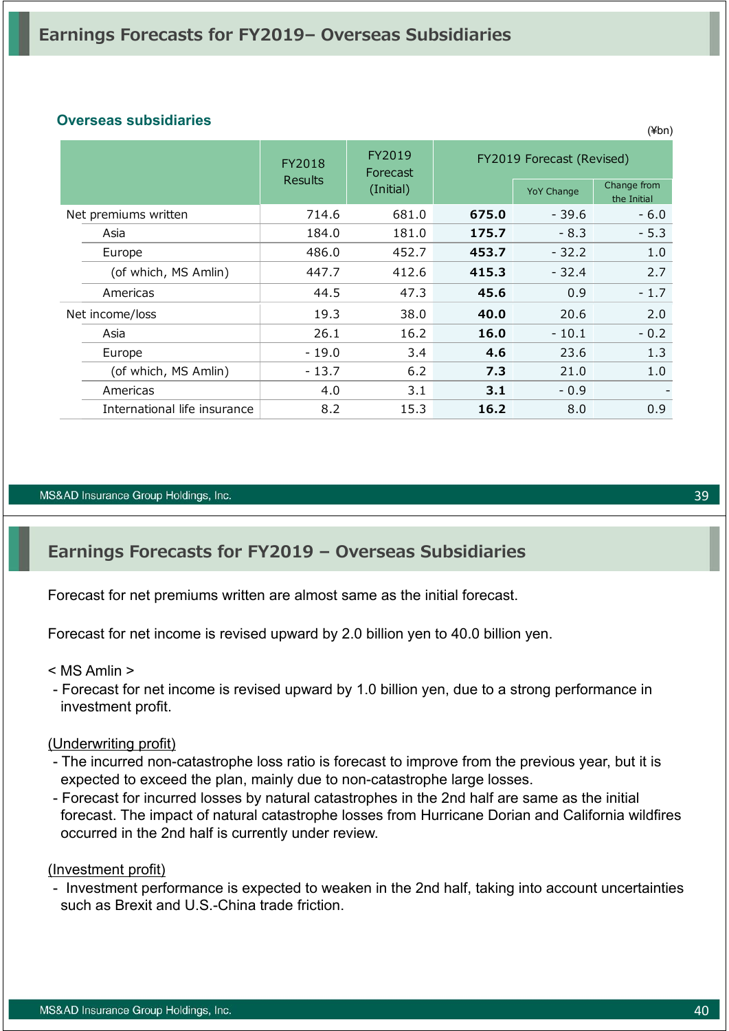### **Overseas subsidiaries**

|                              | FY2018         | FY2019<br>Forecast |       | FY2019 Forecast (Revised) |                            |
|------------------------------|----------------|--------------------|-------|---------------------------|----------------------------|
|                              | <b>Results</b> | (Initial)          |       | <b>YoY Change</b>         | Change from<br>the Initial |
| Net premiums written         | 714.6          | 681.0              | 675.0 | $-39.6$                   | $-6.0$                     |
| Asia                         | 184.0          | 181.0              | 175.7 | $-8.3$                    | $-5.3$                     |
| Europe                       | 486.0          | 452.7              | 453.7 | $-32.2$                   | 1.0                        |
| (of which, MS Amlin)         | 447.7          | 412.6              | 415.3 | $-32.4$                   | 2.7                        |
| Americas                     | 44.5           | 47.3               | 45.6  | 0.9                       | $-1.7$                     |
| Net income/loss              | 19.3           | 38.0               | 40.0  | 20.6                      | 2.0                        |
| Asia                         | 26.1           | 16.2               | 16.0  | $-10.1$                   | $-0.2$                     |
| Europe                       | - 19.0         | 3.4                | 4.6   | 23.6                      | 1.3                        |
| (of which, MS Amlin)         | $-13.7$        | 6.2                | 7.3   | 21.0                      | 1.0                        |
| Americas                     | 4.0            | 3.1                | 3.1   | $-0.9$                    |                            |
| International life insurance | 8.2            | 15.3               | 16.2  | 8.0                       | 0.9                        |

#### MS&AD Insurance Group Holdings, Inc.

## **Earnings Forecasts for FY2019 – Overseas Subsidiaries**

Forecast for net premiums written are almost same as the initial forecast.

Forecast for net income is revised upward by 2.0 billion yen to 40.0 billion yen.

#### < MS Amlin >

- Forecast for net income is revised upward by 1.0 billion yen, due to a strong performance in investment profit.

#### (Underwriting profit)

- The incurred non-catastrophe loss ratio is forecast to improve from the previous year, but it is expected to exceed the plan, mainly due to non-catastrophe large losses.
- Forecast for incurred losses by natural catastrophes in the 2nd half are same as the initial forecast. The impact of natural catastrophe losses from Hurricane Dorian and California wildfires occurred in the 2nd half is currently under review.

#### (Investment profit)

- Investment performance is expected to weaken in the 2nd half, taking into account uncertainties such as Brexit and U.S.-China trade friction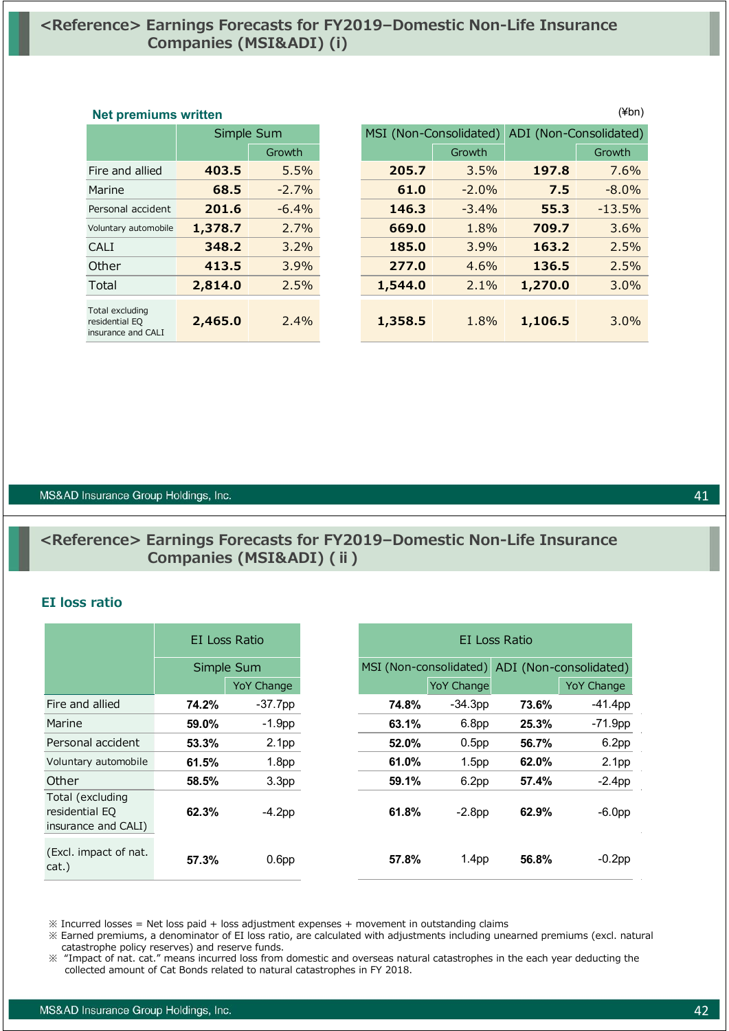### **<Reference> Earnings Forecasts for FY2019–Domestic Non-Life Insurance Companies (MSI&ADI) (i)**

### **Net premiums written** (¥bn)

|                                                         | Simple Sum |          |
|---------------------------------------------------------|------------|----------|
|                                                         |            | Growth   |
| Fire and allied                                         | 403.5      | 5.5%     |
| Marine                                                  | 68.5       | $-2.7%$  |
| Personal accident                                       | 201.6      | $-6.4\%$ |
| Voluntary automobile                                    | 1,378.7    | 2.7%     |
| CALI                                                    | 348.2      | 3.2%     |
| Other                                                   | 413.5      | 3.9%     |
| Total                                                   | 2,814.0    | 2.5%     |
| Total excluding<br>residential EQ<br>insurance and CALI | 2,465.0    | $2.4\%$  |

| <b>IACT DI AITINITIS MITTELI</b>                        |            |         |                        |         |         |                        |  |
|---------------------------------------------------------|------------|---------|------------------------|---------|---------|------------------------|--|
|                                                         | Simple Sum |         | MSI (Non-Consolidated) |         |         | ADI (Non-Consolidated) |  |
|                                                         |            | Growth  |                        | Growth  |         | Growth                 |  |
| Fire and allied                                         | 403.5      | 5.5%    | 205.7                  | 3.5%    | 197.8   | 7.6%                   |  |
| Marine                                                  | 68.5       | $-2.7%$ | 61.0                   | $-2.0%$ | 7.5     | $-8.0\%$               |  |
| Personal accident                                       | 201.6      | $-6.4%$ | 146.3                  | $-3.4%$ | 55.3    | $-13.5%$               |  |
| Voluntary automobile                                    | 1,378.7    | 2.7%    | 669.0                  | 1.8%    | 709.7   | 3.6%                   |  |
| <b>CALI</b>                                             | 348.2      | 3.2%    | 185.0                  | 3.9%    | 163.2   | 2.5%                   |  |
| Other                                                   | 413.5      | 3.9%    | 277.0                  | 4.6%    | 136.5   | 2.5%                   |  |
| Total                                                   | 2,814.0    | 2.5%    | 1,544.0                | 2.1%    | 1,270.0 | $3.0\%$                |  |
| Total excluding<br>residential EQ<br>insurance and CALI | 2,465.0    | 2.4%    | 1,358.5                | 1.8%    | 1,106.5 | $3.0\%$                |  |

#### MS&AD Insurance Group Holdings, Inc.

### **<Reference> Earnings Forecasts for FY2019–Domestic Non-Life Insurance Companies (MSI&ADI) (ⅱ)**

#### **EI loss ratio**

|                                                           |       | EI Loss Ratio     |       | EI Loss Ratio          |       |                        |  |  |
|-----------------------------------------------------------|-------|-------------------|-------|------------------------|-------|------------------------|--|--|
|                                                           |       | Simple Sum        |       | MSI (Non-consolidated) |       | ADI (Non-consolidated) |  |  |
|                                                           |       | <b>YoY Change</b> |       | <b>YoY Change</b>      |       | <b>YoY Change</b>      |  |  |
| Fire and allied                                           | 74.2% | $-37.7$ pp        | 74.8% | $-34.3pp$              | 73.6% | $-41.4pp$              |  |  |
| Marine                                                    | 59.0% | $-1.9$ pp         | 63.1% | 6.8 <sub>pp</sub>      | 25.3% | $-71.9$ pp             |  |  |
| Personal accident                                         | 53.3% | 2.1 <sub>pp</sub> | 52.0% | 0.5 <sub>pp</sub>      | 56.7% | 6.2pp                  |  |  |
| Voluntary automobile                                      | 61.5% | 1.8 <sub>pp</sub> | 61.0% | 1.5 <sub>pp</sub>      | 62.0% | 2.1 <sub>pp</sub>      |  |  |
| Other                                                     | 58.5% | 3.3 <sub>pp</sub> | 59.1% | 6.2pp                  | 57.4% | $-2.4$ pp              |  |  |
| Total (excluding<br>residential EQ<br>insurance and CALI) | 62.3% | $-4.2pp$          | 61.8% | $-2.8pp$               | 62.9% | $-6.0pp$               |  |  |
| (Excl. impact of nat.<br>cat.)                            | 57.3% | 0.6 <sub>pp</sub> | 57.8% | 1.4 <sub>pp</sub>      | 56.8% | $-0.2$ pp              |  |  |

 $\%$  Incurred losses = Net loss paid + loss adjustment expenses + movement in outstanding claims

※ Earned premiums, a denominator of EI loss ratio, are calculated with adjustments including unearned premiums (excl. natural catastrophe policy reserves) and reserve funds.

※ "Impact of nat. cat." means incurred loss from domestic and overseas natural catastrophes in the each year deducting the collected amount of Cat Bonds related to natural catastrophes in FY 2018.